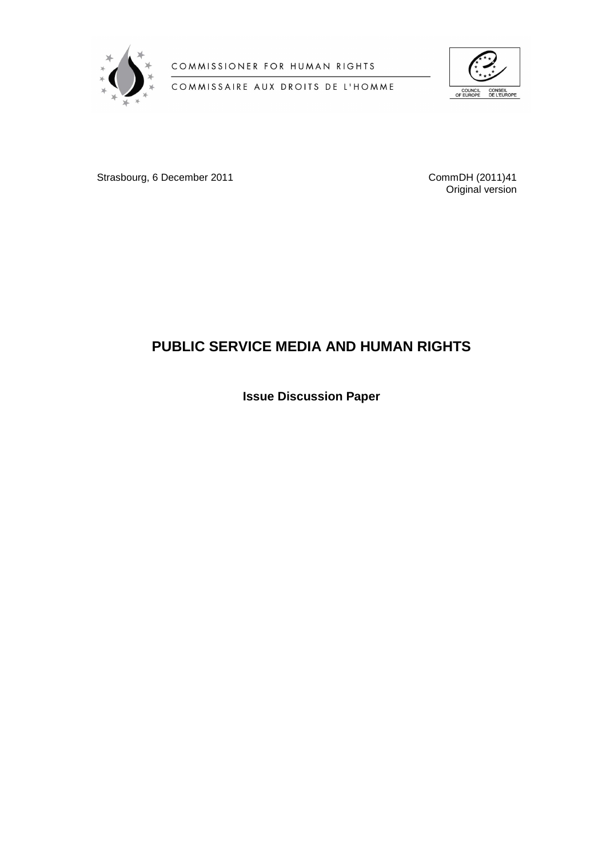

COMMISSIONER FOR HUMAN RIGHTS

COMMISSAIRE AUX DROITS DE L'HOMME



Strasbourg, 6 December 2011

CommDH (2011)41<br>Original version

# **PUBLIC SERVICE MEDIA AND HUMAN RIGHTS**

**Issue Discussion Paper**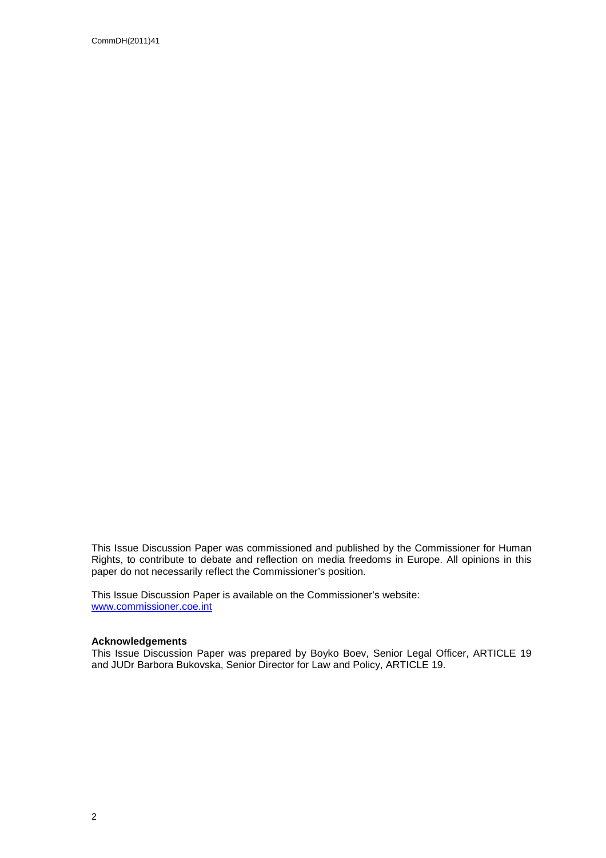CommDH(2011)41

This Issue Discussion Paper was commissioned and published by the Commissioner for Human Rights, to contribute to debate and reflection on media freedoms in Europe. All opinions in this paper do not necessarily reflect the Commissioner's position.

This Issue Discussion Paper is available on the Commissioner's website: www.commissioner.coe.int

#### **Acknowledgements**

This Issue Discussion Paper was prepared by Boyko Boev, Senior Legal Officer, ARTICLE 19 and JUDr Barbora Bukovska, Senior Director for Law and Policy, ARTICLE 19.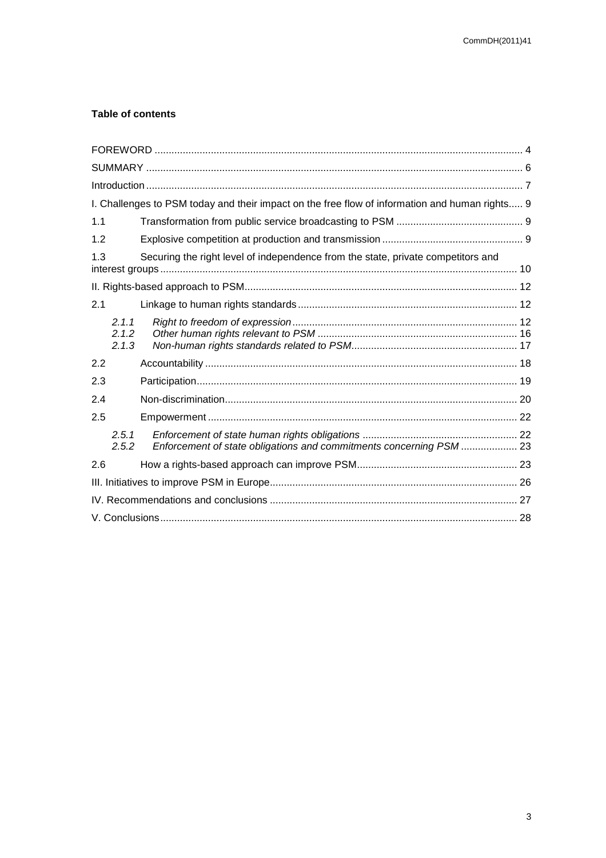# Table of contents

|     |                         | I. Challenges to PSM today and their impact on the free flow of information and human rights 9 |  |
|-----|-------------------------|------------------------------------------------------------------------------------------------|--|
| 1.1 |                         |                                                                                                |  |
| 1.2 |                         |                                                                                                |  |
| 1.3 |                         | Securing the right level of independence from the state, private competitors and               |  |
|     |                         |                                                                                                |  |
| 2.1 |                         |                                                                                                |  |
|     | 2.1.1<br>2.1.2<br>2.1.3 |                                                                                                |  |
| 2.2 |                         |                                                                                                |  |
| 2.3 |                         |                                                                                                |  |
| 2.4 |                         |                                                                                                |  |
| 2.5 |                         |                                                                                                |  |
|     | 2.5.1<br>2.5.2          | Enforcement of state obligations and commitments concerning PSM  23                            |  |
| 2.6 |                         |                                                                                                |  |
|     |                         |                                                                                                |  |
|     |                         |                                                                                                |  |
|     |                         |                                                                                                |  |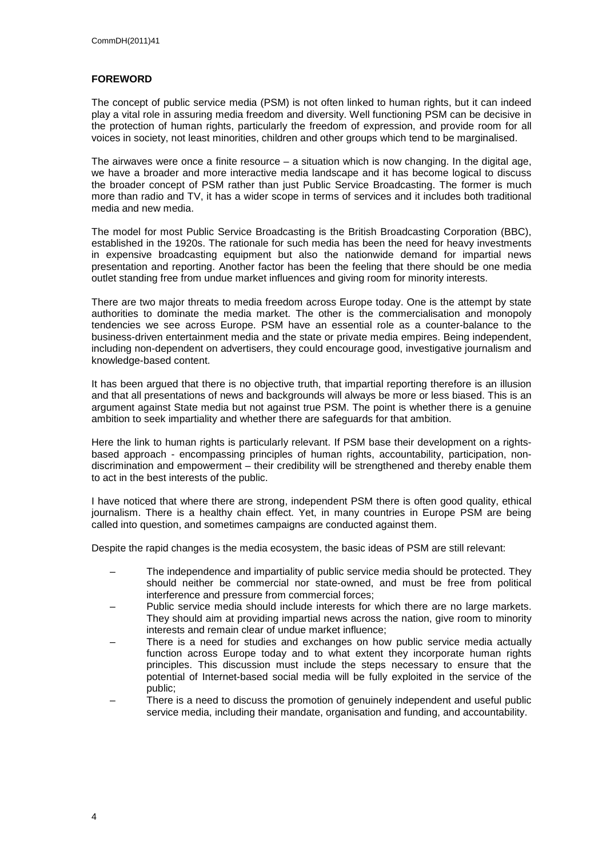## **FOREWORD**

The concept of public service media (PSM) is not often linked to human rights, but it can indeed play a vital role in assuring media freedom and diversity. Well functioning PSM can be decisive in the protection of human rights, particularly the freedom of expression, and provide room for all voices in society, not least minorities, children and other groups which tend to be marginalised.

The airwaves were once a finite resource  $-$  a situation which is now changing. In the digital age, we have a broader and more interactive media landscape and it has become logical to discuss the broader concept of PSM rather than just Public Service Broadcasting. The former is much more than radio and TV, it has a wider scope in terms of services and it includes both traditional media and new media.

The model for most Public Service Broadcasting is the British Broadcasting Corporation (BBC), established in the 1920s. The rationale for such media has been the need for heavy investments in expensive broadcasting equipment but also the nationwide demand for impartial news presentation and reporting. Another factor has been the feeling that there should be one media outlet standing free from undue market influences and giving room for minority interests.

There are two major threats to media freedom across Europe today. One is the attempt by state authorities to dominate the media market. The other is the commercialisation and monopoly tendencies we see across Europe. PSM have an essential role as a counter-balance to the business-driven entertainment media and the state or private media empires. Being independent, including non-dependent on advertisers, they could encourage good, investigative journalism and knowledge-based content.

It has been argued that there is no objective truth, that impartial reporting therefore is an illusion and that all presentations of news and backgrounds will always be more or less biased. This is an argument against State media but not against true PSM. The point is whether there is a genuine ambition to seek impartiality and whether there are safeguards for that ambition.

Here the link to human rights is particularly relevant. If PSM base their development on a rightsbased approach - encompassing principles of human rights, accountability, participation, nondiscrimination and empowerment – their credibility will be strengthened and thereby enable them to act in the best interests of the public.

I have noticed that where there are strong, independent PSM there is often good quality, ethical journalism. There is a healthy chain effect. Yet, in many countries in Europe PSM are being called into question, and sometimes campaigns are conducted against them.

Despite the rapid changes is the media ecosystem, the basic ideas of PSM are still relevant:

- The independence and impartiality of public service media should be protected. They should neither be commercial nor state-owned, and must be free from political interference and pressure from commercial forces;
- Public service media should include interests for which there are no large markets. They should aim at providing impartial news across the nation, give room to minority interests and remain clear of undue market influence;
- There is a need for studies and exchanges on how public service media actually function across Europe today and to what extent they incorporate human rights principles. This discussion must include the steps necessary to ensure that the potential of Internet-based social media will be fully exploited in the service of the public;
- There is a need to discuss the promotion of genuinely independent and useful public service media, including their mandate, organisation and funding, and accountability.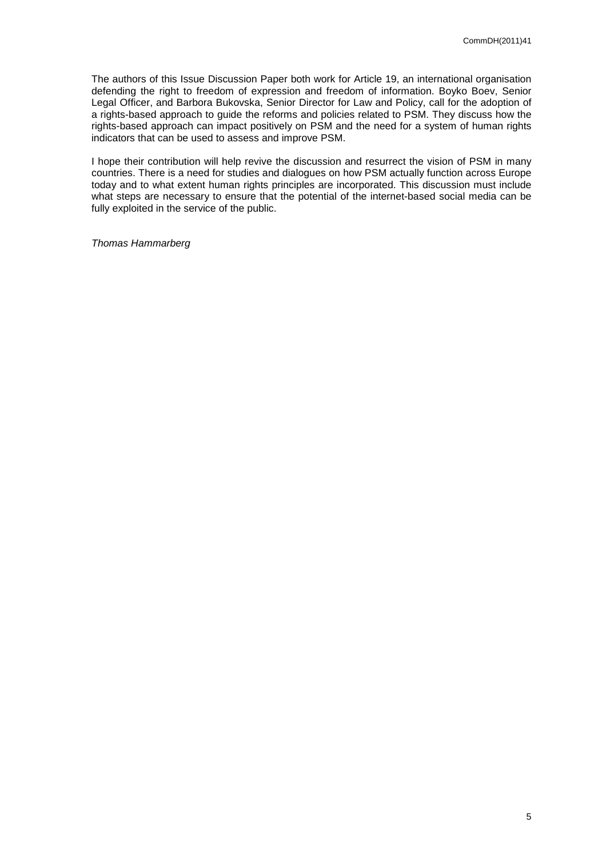The authors of this Issue Discussion Paper both work for Article 19, an international organisation defending the right to freedom of expression and freedom of information. Boyko Boev, Senior Legal Officer, and Barbora Bukovska, Senior Director for Law and Policy, call for the adoption of a rights-based approach to guide the reforms and policies related to PSM. They discuss how the rights-based approach can impact positively on PSM and the need for a system of human rights indicators that can be used to assess and improve PSM.

I hope their contribution will help revive the discussion and resurrect the vision of PSM in many countries. There is a need for studies and dialogues on how PSM actually function across Europe today and to what extent human rights principles are incorporated. This discussion must include what steps are necessary to ensure that the potential of the internet-based social media can be fully exploited in the service of the public.

Thomas Hammarberg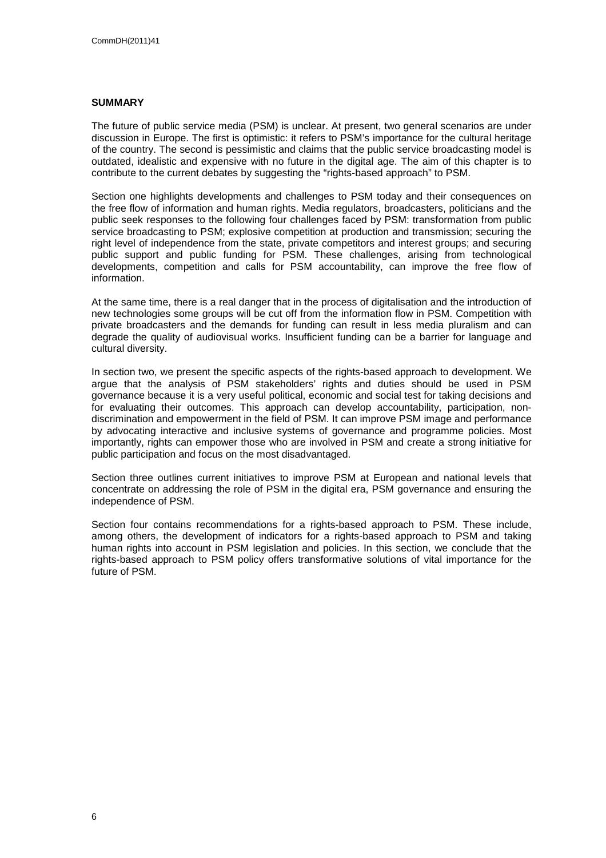### **SUMMARY**

The future of public service media (PSM) is unclear. At present, two general scenarios are under discussion in Europe. The first is optimistic: it refers to PSM's importance for the cultural heritage of the country. The second is pessimistic and claims that the public service broadcasting model is outdated, idealistic and expensive with no future in the digital age. The aim of this chapter is to contribute to the current debates by suggesting the "rights-based approach" to PSM.

Section one highlights developments and challenges to PSM today and their consequences on the free flow of information and human rights. Media regulators, broadcasters, politicians and the public seek responses to the following four challenges faced by PSM: transformation from public service broadcasting to PSM; explosive competition at production and transmission; securing the right level of independence from the state, private competitors and interest groups; and securing public support and public funding for PSM. These challenges, arising from technological developments, competition and calls for PSM accountability, can improve the free flow of information.

At the same time, there is a real danger that in the process of digitalisation and the introduction of new technologies some groups will be cut off from the information flow in PSM. Competition with private broadcasters and the demands for funding can result in less media pluralism and can degrade the quality of audiovisual works. Insufficient funding can be a barrier for language and cultural diversity.

In section two, we present the specific aspects of the rights-based approach to development. We argue that the analysis of PSM stakeholders' rights and duties should be used in PSM governance because it is a very useful political, economic and social test for taking decisions and for evaluating their outcomes. This approach can develop accountability, participation, nondiscrimination and empowerment in the field of PSM. It can improve PSM image and performance by advocating interactive and inclusive systems of governance and programme policies. Most importantly, rights can empower those who are involved in PSM and create a strong initiative for public participation and focus on the most disadvantaged.

Section three outlines current initiatives to improve PSM at European and national levels that concentrate on addressing the role of PSM in the digital era, PSM governance and ensuring the independence of PSM.

Section four contains recommendations for a rights-based approach to PSM. These include, among others, the development of indicators for a rights-based approach to PSM and taking human rights into account in PSM legislation and policies. In this section, we conclude that the rights-based approach to PSM policy offers transformative solutions of vital importance for the future of PSM.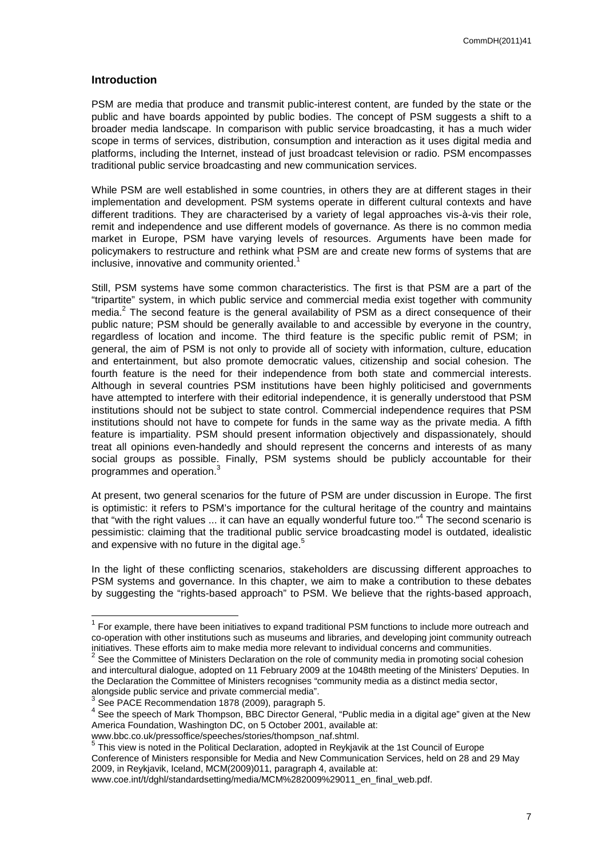### **Introduction**

PSM are media that produce and transmit public-interest content, are funded by the state or the public and have boards appointed by public bodies. The concept of PSM suggests a shift to a broader media landscape. In comparison with public service broadcasting, it has a much wider scope in terms of services, distribution, consumption and interaction as it uses digital media and platforms, including the Internet, instead of just broadcast television or radio. PSM encompasses traditional public service broadcasting and new communication services.

While PSM are well established in some countries, in others they are at different stages in their implementation and development. PSM systems operate in different cultural contexts and have different traditions. They are characterised by a variety of legal approaches vis-à-vis their role, remit and independence and use different models of governance. As there is no common media market in Europe, PSM have varying levels of resources. Arguments have been made for policymakers to restructure and rethink what PSM are and create new forms of systems that are  $\overline{\phantom{a}}$  innovative and community oriented.<sup>1</sup>

Still, PSM systems have some common characteristics. The first is that PSM are a part of the "tripartite" system, in which public service and commercial media exist together with community media.<sup>2</sup> The second feature is the general availability of PSM as a direct consequence of their public nature; PSM should be generally available to and accessible by everyone in the country, regardless of location and income. The third feature is the specific public remit of PSM; in general, the aim of PSM is not only to provide all of society with information, culture, education and entertainment, but also promote democratic values, citizenship and social cohesion. The fourth feature is the need for their independence from both state and commercial interests. Although in several countries PSM institutions have been highly politicised and governments have attempted to interfere with their editorial independence, it is generally understood that PSM institutions should not be subject to state control. Commercial independence requires that PSM institutions should not have to compete for funds in the same way as the private media. A fifth feature is impartiality. PSM should present information objectively and dispassionately, should treat all opinions even-handedly and should represent the concerns and interests of as many social groups as possible. Finally, PSM systems should be publicly accountable for their programmes and operation.<sup>3</sup>

At present, two general scenarios for the future of PSM are under discussion in Europe. The first is optimistic: it refers to PSM's importance for the cultural heritage of the country and maintains that "with the right values ... it can have an equally wonderful future too."<sup>4</sup> The second scenario is pessimistic: claiming that the traditional public service broadcasting model is outdated, idealistic and expensive with no future in the digital age.<sup>5</sup>

In the light of these conflicting scenarios, stakeholders are discussing different approaches to PSM systems and governance. In this chapter, we aim to make a contribution to these debates by suggesting the "rights-based approach" to PSM. We believe that the rights-based approach,

 $\overline{a}$ 

 $5$  This view is noted in the Political Declaration, adopted in Reykjavik at the 1st Council of Europe Conference of Ministers responsible for Media and New Communication Services, held on 28 and 29 May

2009, in Reykjavik, Iceland, MCM(2009)011, paragraph 4, available at:

www.coe.int/t/dghl/standardsetting/media/MCM%282009%29011\_en\_final\_web.pdf.

 $1$  For example, there have been initiatives to expand traditional PSM functions to include more outreach and co-operation with other institutions such as museums and libraries, and developing joint community outreach initiatives. These efforts aim to make media more relevant to individual concerns and communities.

 $2$  See the Committee of Ministers Declaration on the role of community media in promoting social cohesion and intercultural dialogue, adopted on 11 February 2009 at the 1048th meeting of the Ministers' Deputies. In the Declaration the Committee of Ministers recognises "community media as a distinct media sector, alongside public service and private commercial media".<br>3 See BACE Besemmendation 1979 (2000), persaranh 5

See PACE Recommendation 1878 (2009), paragraph 5.

<sup>&</sup>lt;sup>4</sup> See the speech of Mark Thompson, BBC Director General, "Public media in a digital age" given at the New America Foundation, Washington DC, on 5 October 2001, available at:

www.bbc.co.uk/pressoffice/speeches/stories/thompson\_naf.shtml.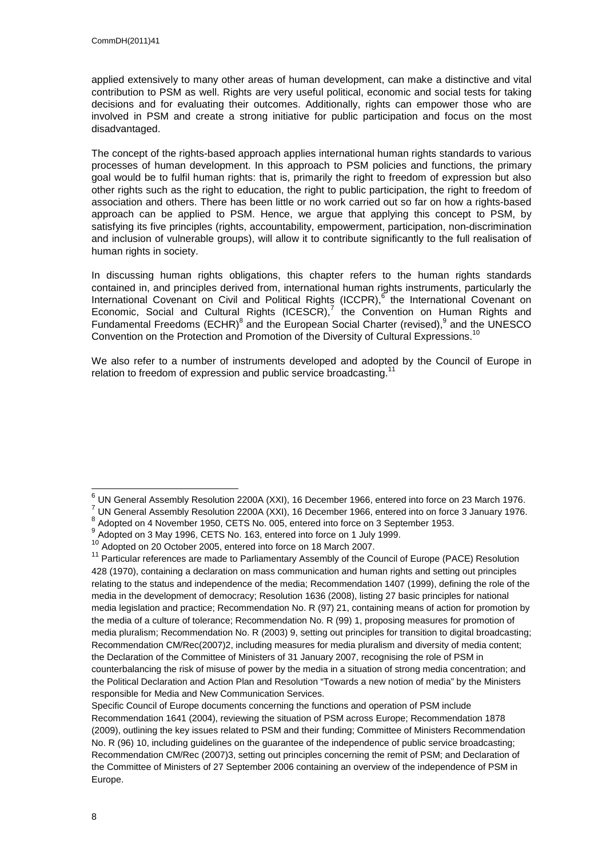applied extensively to many other areas of human development, can make a distinctive and vital contribution to PSM as well. Rights are very useful political, economic and social tests for taking decisions and for evaluating their outcomes. Additionally, rights can empower those who are involved in PSM and create a strong initiative for public participation and focus on the most disadvantaged.

The concept of the rights-based approach applies international human rights standards to various processes of human development. In this approach to PSM policies and functions, the primary goal would be to fulfil human rights: that is, primarily the right to freedom of expression but also other rights such as the right to education, the right to public participation, the right to freedom of association and others. There has been little or no work carried out so far on how a rights-based approach can be applied to PSM. Hence, we argue that applying this concept to PSM, by satisfying its five principles (rights, accountability, empowerment, participation, non-discrimination and inclusion of vulnerable groups), will allow it to contribute significantly to the full realisation of human rights in society.

In discussing human rights obligations, this chapter refers to the human rights standards contained in, and principles derived from, international human rights instruments, particularly the International Covenant on Civil and Political Rights (ICCPR),<sup>6</sup> the International Covenant on Economic, Social and Cultural Rights (ICESCR), $^7$  the Convention on Human Rights and Fundamental Freedoms (ECHR) $^8$  and the European Social Charter (revised), $^9$  and the UNESCO Convention on the Protection and Promotion of the Diversity of Cultural Expressions.<sup>10</sup>

We also refer to a number of instruments developed and adopted by the Council of Europe in relation to freedom of expression and public service broadcasting.<sup>11</sup>

 6 UN General Assembly Resolution 2200A (XXI), 16 December 1966, entered into force on 23 March 1976.

 $^7$  UN General Assembly Resolution 2200A (XXI), 16 December 1966, entered into on force 3 January 1976.

<sup>&</sup>lt;sup>8</sup> Adopted on 4 November 1950, CETS No. 005, entered into force on 3 September 1953.

 $^9$  Adopted on 3 May 1996, CETS No. 163, entered into force on 1 July 1999.

<sup>10</sup> Adopted on 20 October 2005, entered into force on 18 March 2007.

<sup>&</sup>lt;sup>11</sup> Particular references are made to Parliamentary Assembly of the Council of Europe (PACE) Resolution 428 (1970), containing a declaration on mass communication and human rights and setting out principles relating to the status and independence of the media; Recommendation 1407 (1999), defining the role of the media in the development of democracy; Resolution 1636 (2008), listing 27 basic principles for national media legislation and practice; Recommendation No. R (97) 21, containing means of action for promotion by the media of a culture of tolerance; Recommendation No. R (99) 1, proposing measures for promotion of media pluralism; Recommendation No. R (2003) 9, setting out principles for transition to digital broadcasting; Recommendation CM/Rec(2007)2, including measures for media pluralism and diversity of media content; the Declaration of the Committee of Ministers of 31 January 2007, recognising the role of PSM in counterbalancing the risk of misuse of power by the media in a situation of strong media concentration; and the Political Declaration and Action Plan and Resolution "Towards a new notion of media" by the Ministers responsible for Media and New Communication Services.

Specific Council of Europe documents concerning the functions and operation of PSM include Recommendation 1641 (2004), reviewing the situation of PSM across Europe; Recommendation 1878 (2009), outlining the key issues related to PSM and their funding; Committee of Ministers Recommendation No. R (96) 10, including guidelines on the guarantee of the independence of public service broadcasting; Recommendation CM/Rec (2007)3, setting out principles concerning the remit of PSM; and Declaration of the Committee of Ministers of 27 September 2006 containing an overview of the independence of PSM in Europe.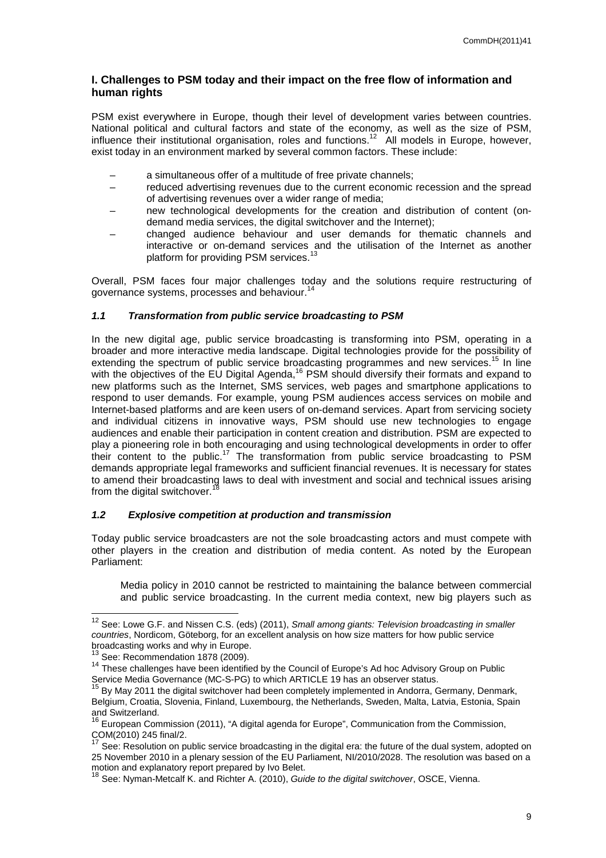# **I. Challenges to PSM today and their impact on the free flow of information and human rights**

PSM exist everywhere in Europe, though their level of development varies between countries. National political and cultural factors and state of the economy, as well as the size of PSM, influence their institutional organisation, roles and functions.<sup>12</sup> All models in Europe, however, exist today in an environment marked by several common factors. These include:

- a simultaneous offer of a multitude of free private channels;
- reduced advertising revenues due to the current economic recession and the spread of advertising revenues over a wider range of media;
- new technological developments for the creation and distribution of content (ondemand media services, the digital switchover and the Internet);
- changed audience behaviour and user demands for thematic channels and interactive or on-demand services and the utilisation of the Internet as another platform for providing PSM services.<sup>13</sup>

Overall, PSM faces four major challenges today and the solutions require restructuring of governance systems, processes and behaviour.<sup>1</sup>

# **1.1 Transformation from public service broadcasting to PSM**

In the new digital age, public service broadcasting is transforming into PSM, operating in a broader and more interactive media landscape. Digital technologies provide for the possibility of extending the spectrum of public service broadcasting programmes and new services.<sup>15</sup> In line with the objectives of the EU Digital Agenda,<sup>16</sup> PSM should diversify their formats and expand to new platforms such as the Internet, SMS services, web pages and smartphone applications to respond to user demands. For example, young PSM audiences access services on mobile and Internet-based platforms and are keen users of on-demand services. Apart from servicing society and individual citizens in innovative ways, PSM should use new technologies to engage audiences and enable their participation in content creation and distribution. PSM are expected to play a pioneering role in both encouraging and using technological developments in order to offer their content to the public.<sup>17</sup> The transformation from public service broadcasting to PSM demands appropriate legal frameworks and sufficient financial revenues. It is necessary for states to amend their broadcasting laws to deal with investment and social and technical issues arising from the digital switchover.

# **1.2 Explosive competition at production and transmission**

Today public service broadcasters are not the sole broadcasting actors and must compete with other players in the creation and distribution of media content. As noted by the European Parliament:

Media policy in 2010 cannot be restricted to maintaining the balance between commercial and public service broadcasting. In the current media context, new big players such as

 $12$  See: Lowe G.F. and Nissen C.S. (eds) (2011), Small among giants: Television broadcasting in smaller countries, Nordicom, Göteborg, for an excellent analysis on how size matters for how public service broadcasting works and why in Europe.

 $13$  See: Recommendation 1878 (2009).

<sup>&</sup>lt;sup>14</sup> These challenges have been identified by the Council of Europe's Ad hoc Advisory Group on Public Service Media Governance (MC-S-PG) to which ARTICLE 19 has an observer status.

<sup>15</sup> By May 2011 the digital switchover had been completely implemented in Andorra, Germany, Denmark, Belgium, Croatia, Slovenia, Finland, Luxembourg, the Netherlands, Sweden, Malta, Latvia, Estonia, Spain and Switzerland.

<sup>&</sup>lt;sup>16</sup> European Commission (2011), "A digital agenda for Europe", Communication from the Commission, COM(2010) 245 final/2.

See: Resolution on public service broadcasting in the digital era: the future of the dual system, adopted on 25 November 2010 in a plenary session of the EU Parliament, NI/2010/2028. The resolution was based on a motion and explanatory report prepared by Ivo Belet.

See: Nyman-Metcalf K. and Richter A. (2010), Guide to the digital switchover, OSCE, Vienna.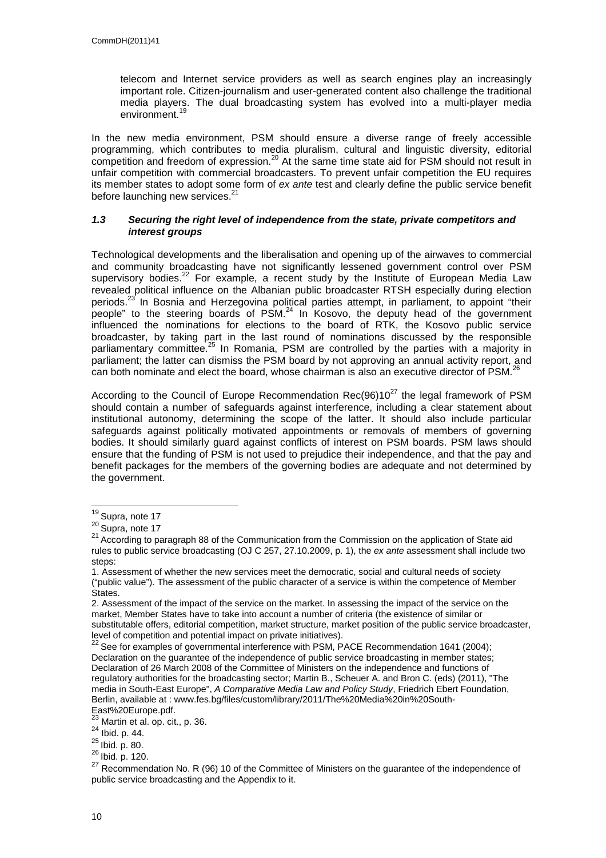telecom and Internet service providers as well as search engines play an increasingly important role. Citizen-journalism and user-generated content also challenge the traditional media players. The dual broadcasting system has evolved into a multi-player media environment.<sup>19</sup>

In the new media environment, PSM should ensure a diverse range of freely accessible programming, which contributes to media pluralism, cultural and linguistic diversity, editorial competition and freedom of expression.<sup>20</sup> At the same time state aid for PSM should not result in unfair competition with commercial broadcasters. To prevent unfair competition the EU requires its member states to adopt some form of ex ante test and clearly define the public service benefit before launching new services.<sup>21</sup>

### **1.3 Securing the right level of independence from the state, private competitors and interest groups**

Technological developments and the liberalisation and opening up of the airwaves to commercial and community broadcasting have not significantly lessened government control over PSM supervisory bodies.<sup>22</sup> For example, a recent study by the Institute of European Media Law revealed political influence on the Albanian public broadcaster RTSH especially during election periods.<sup>23</sup> In Bosnia and Herzegovina political parties attempt, in parliament, to appoint "their people" to the steering boards of PSM. $^{24}$  In Kosovo, the deputy head of the government influenced the nominations for elections to the board of RTK, the Kosovo public service broadcaster, by taking part in the last round of nominations discussed by the responsible parliamentary committee.<sup>25</sup> In Romania, PSM are controlled by the parties with a majority in parliament; the latter can dismiss the PSM board by not approving an annual activity report, and can both nominate and elect the board, whose chairman is also an executive director of PSM.<sup>2</sup>

According to the Council of Europe Recommendation  $Rec(96)10^{27}$  the legal framework of PSM should contain a number of safeguards against interference, including a clear statement about institutional autonomy, determining the scope of the latter. It should also include particular safeguards against politically motivated appointments or removals of members of governing bodies. It should similarly guard against conflicts of interest on PSM boards. PSM laws should ensure that the funding of PSM is not used to prejudice their independence, and that the pay and benefit packages for the members of the governing bodies are adequate and not determined by the government.

<sup>&</sup>lt;sup>19</sup> Supra, note 17

<sup>&</sup>lt;sup>20</sup> Supra, note 17

 $21$  According to paragraph 88 of the Communication from the Commission on the application of State aid rules to public service broadcasting (OJ C 257, 27.10.2009, p. 1), the ex ante assessment shall include two steps:

<sup>1.</sup> Assessment of whether the new services meet the democratic, social and cultural needs of society ("public value"). The assessment of the public character of a service is within the competence of Member States.

<sup>2.</sup> Assessment of the impact of the service on the market. In assessing the impact of the service on the market, Member States have to take into account a number of criteria (the existence of similar or substitutable offers, editorial competition, market structure, market position of the public service broadcaster, level of competition and potential impact on private initiatives).

 $^{22}$  See for examples of governmental interference with PSM, PACE Recommendation 1641 (2004); Declaration on the guarantee of the independence of public service broadcasting in member states; Declaration of 26 March 2008 of the Committee of Ministers on the independence and functions of regulatory authorities for the broadcasting sector; Martin B., Scheuer A. and Bron C. (eds) (2011), "The media in South-East Europe", A Comparative Media Law and Policy Study, Friedrich Ebert Foundation, Berlin, available at : www.fes.bg/files/custom/library/2011/The%20Media%20in%20South-East%20Europe.pdf.

Martin et al. op. cit., p. 36.

 $^{24}$  Ibid. p. 44.

 $^{25}$  Ibid. p. 80.

 $^{26}$  Ibid. p. 120.

<sup>27</sup> Recommendation No. R (96) 10 of the Committee of Ministers on the guarantee of the independence of public service broadcasting and the Appendix to it.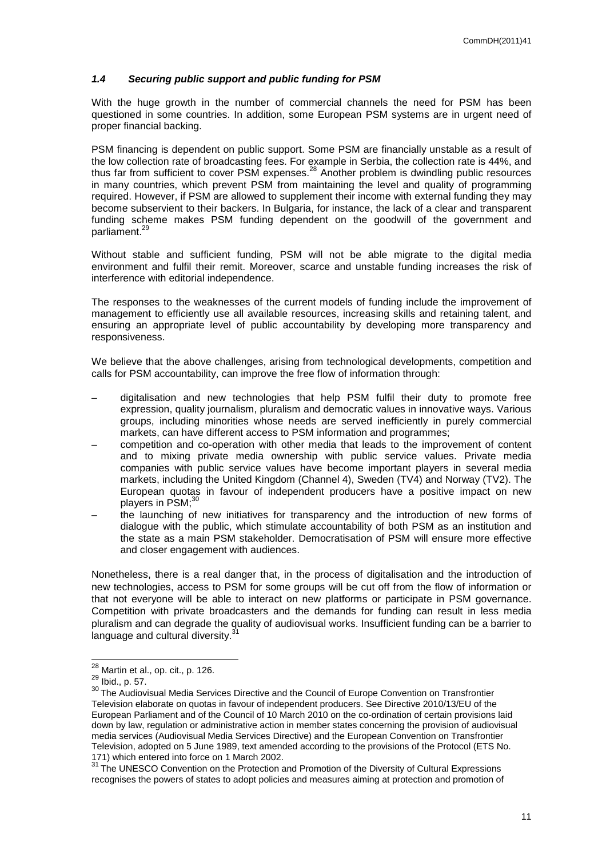# **1.4 Securing public support and public funding for PSM**

With the huge growth in the number of commercial channels the need for PSM has been questioned in some countries. In addition, some European PSM systems are in urgent need of proper financial backing.

PSM financing is dependent on public support. Some PSM are financially unstable as a result of the low collection rate of broadcasting fees. For example in Serbia, the collection rate is 44%, and thus far from sufficient to cover PSM expenses. $^{28}$  Another problem is dwindling public resources in many countries, which prevent PSM from maintaining the level and quality of programming required. However, if PSM are allowed to supplement their income with external funding they may become subservient to their backers. In Bulgaria, for instance, the lack of a clear and transparent funding scheme makes PSM funding dependent on the goodwill of the government and parliament.<sup>29</sup>

Without stable and sufficient funding, PSM will not be able migrate to the digital media environment and fulfil their remit. Moreover, scarce and unstable funding increases the risk of interference with editorial independence.

The responses to the weaknesses of the current models of funding include the improvement of management to efficiently use all available resources, increasing skills and retaining talent, and ensuring an appropriate level of public accountability by developing more transparency and responsiveness.

We believe that the above challenges, arising from technological developments, competition and calls for PSM accountability, can improve the free flow of information through:

- digitalisation and new technologies that help PSM fulfil their duty to promote free expression, quality journalism, pluralism and democratic values in innovative ways. Various groups, including minorities whose needs are served inefficiently in purely commercial markets, can have different access to PSM information and programmes;
- competition and co-operation with other media that leads to the improvement of content and to mixing private media ownership with public service values. Private media companies with public service values have become important players in several media markets, including the United Kingdom (Channel 4), Sweden (TV4) and Norway (TV2). The European quotas in favour of independent producers have a positive impact on new players in PSM;<sup>30</sup>
- the launching of new initiatives for transparency and the introduction of new forms of dialogue with the public, which stimulate accountability of both PSM as an institution and the state as a main PSM stakeholder. Democratisation of PSM will ensure more effective and closer engagement with audiences.

Nonetheless, there is a real danger that, in the process of digitalisation and the introduction of new technologies, access to PSM for some groups will be cut off from the flow of information or that not everyone will be able to interact on new platforms or participate in PSM governance. Competition with private broadcasters and the demands for funding can result in less media pluralism and can degrade the quality of audiovisual works. Insufficient funding can be a barrier to language and cultural diversity.

 $^{28}$  Martin et al., op. cit., p. 126.

 $^{29}$  Ibid., p. 57.

<sup>30</sup> The Audiovisual Media Services Directive and the Council of Europe Convention on Transfrontier Television elaborate on quotas in favour of independent producers. See Directive 2010/13/EU of the European Parliament and of the Council of 10 March 2010 on the co-ordination of certain provisions laid down by law, regulation or administrative action in member states concerning the provision of audiovisual media services (Audiovisual Media Services Directive) and the European Convention on Transfrontier Television, adopted on 5 June 1989, text amended according to the provisions of the Protocol (ETS No. 171) which entered into force on 1 March 2002.

 $31$  The UNESCO Convention on the Protection and Promotion of the Diversity of Cultural Expressions recognises the powers of states to adopt policies and measures aiming at protection and promotion of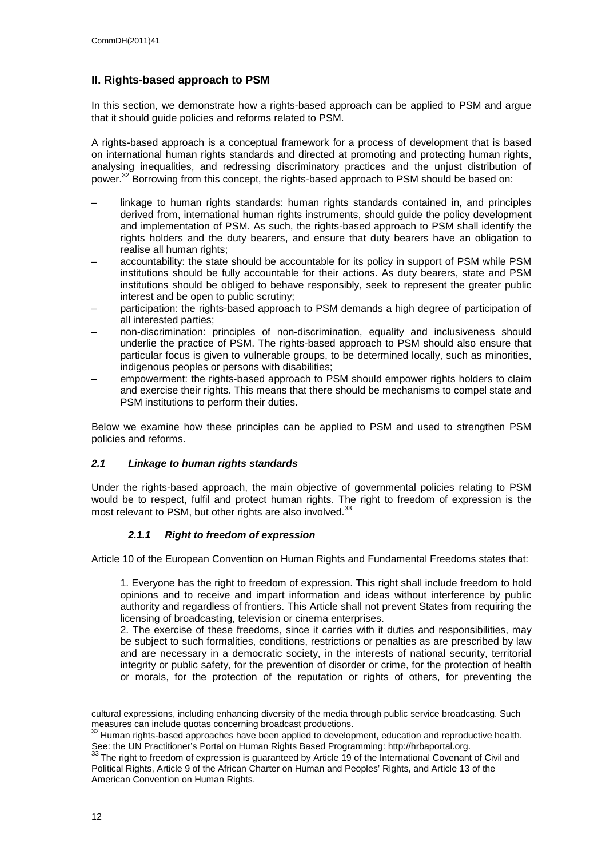# **II. Rights-based approach to PSM**

In this section, we demonstrate how a rights-based approach can be applied to PSM and argue that it should guide policies and reforms related to PSM.

A rights-based approach is a conceptual framework for a process of development that is based on international human rights standards and directed at promoting and protecting human rights, analysing inequalities, and redressing discriminatory practices and the unjust distribution of power.<sup>32</sup> Borrowing from this concept, the rights-based approach to PSM should be based on:

- linkage to human rights standards: human rights standards contained in, and principles derived from, international human rights instruments, should guide the policy development and implementation of PSM. As such, the rights-based approach to PSM shall identify the rights holders and the duty bearers, and ensure that duty bearers have an obligation to realise all human rights;
- accountability: the state should be accountable for its policy in support of PSM while PSM institutions should be fully accountable for their actions. As duty bearers, state and PSM institutions should be obliged to behave responsibly, seek to represent the greater public interest and be open to public scrutiny;
- participation: the rights-based approach to PSM demands a high degree of participation of all interested parties;
- non-discrimination: principles of non-discrimination, equality and inclusiveness should underlie the practice of PSM. The rights-based approach to PSM should also ensure that particular focus is given to vulnerable groups, to be determined locally, such as minorities, indigenous peoples or persons with disabilities;
- empowerment: the rights-based approach to PSM should empower rights holders to claim and exercise their rights. This means that there should be mechanisms to compel state and PSM institutions to perform their duties.

Below we examine how these principles can be applied to PSM and used to strengthen PSM policies and reforms.

# **2.1 Linkage to human rights standards**

Under the rights-based approach, the main objective of governmental policies relating to PSM would be to respect, fulfil and protect human rights. The right to freedom of expression is the most relevant to PSM, but other rights are also involved. $33$ 

# **2.1.1 Right to freedom of expression**

Article 10 of the European Convention on Human Rights and Fundamental Freedoms states that:

1. Everyone has the right to freedom of expression. This right shall include freedom to hold opinions and to receive and impart information and ideas without interference by public authority and regardless of frontiers. This Article shall not prevent States from requiring the licensing of broadcasting, television or cinema enterprises.

2. The exercise of these freedoms, since it carries with it duties and responsibilities, may be subject to such formalities, conditions, restrictions or penalties as are prescribed by law and are necessary in a democratic society, in the interests of national security, territorial integrity or public safety, for the prevention of disorder or crime, for the protection of health or morals, for the protection of the reputation or rights of others, for preventing the

l

cultural expressions, including enhancing diversity of the media through public service broadcasting. Such measures can include quotas concerning broadcast productions.

<sup>32</sup> Human rights-based approaches have been applied to development, education and reproductive health. See: the UN Practitioner's Portal on Human Rights Based Programming: http://hrbaportal.org.

<sup>&</sup>lt;sup>33</sup>The right to freedom of expression is guaranteed by Article 19 of the International Covenant of Civil and Political Rights, Article 9 of the African Charter on Human and Peoples' Rights, and Article 13 of the American Convention on Human Rights.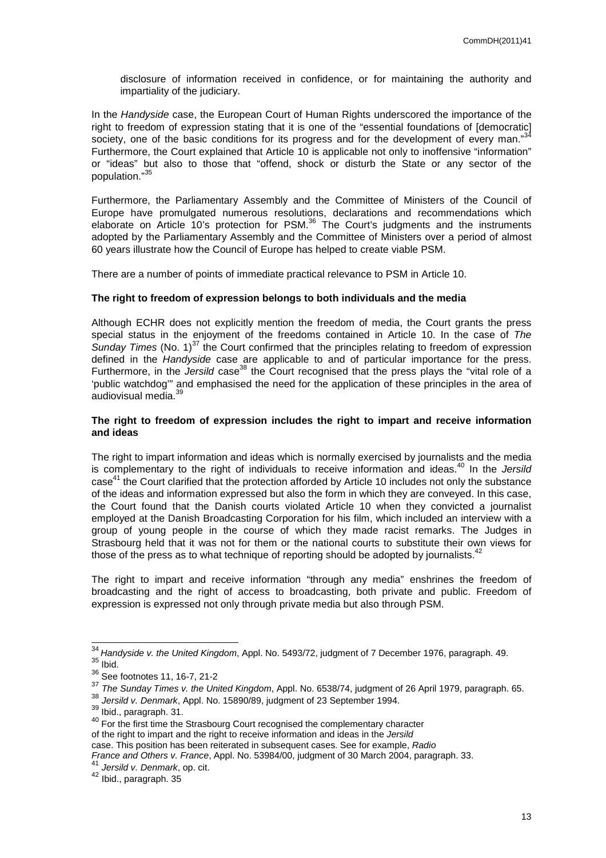disclosure of information received in confidence, or for maintaining the authority and impartiality of the judiciary.

In the Handyside case, the European Court of Human Rights underscored the importance of the right to freedom of expression stating that it is one of the "essential foundations of [democratic] society, one of the basic conditions for its progress and for the development of every man."3 Furthermore, the Court explained that Article 10 is applicable not only to inoffensive "information" or "ideas" but also to those that "offend, shock or disturb the State or any sector of the population."<sup>35</sup>

Furthermore, the Parliamentary Assembly and the Committee of Ministers of the Council of Europe have promulgated numerous resolutions, declarations and recommendations which elaborate on Article 10's protection for PSM.<sup>36</sup> The Court's judgments and the instruments adopted by the Parliamentary Assembly and the Committee of Ministers over a period of almost 60 years illustrate how the Council of Europe has helped to create viable PSM.

There are a number of points of immediate practical relevance to PSM in Article 10.

### **The right to freedom of expression belongs to both individuals and the media**

Although ECHR does not explicitly mention the freedom of media, the Court grants the press special status in the enjoyment of the freedoms contained in Article 10. In the case of The Sunday Times (No.  $1)^{37}$  the Court confirmed that the principles relating to freedom of expression defined in the Handyside case are applicable to and of particular importance for the press. Furthermore, in the Jersild case<sup>38</sup> the Court recognised that the press plays the "vital role of a 'public watchdog'" and emphasised the need for the application of these principles in the area of audiovisual media.<sup>39</sup>

### **The right to freedom of expression includes the right to impart and receive information and ideas**

The right to impart information and ideas which is normally exercised by journalists and the media is complementary to the right of individuals to receive information and ideas.<sup>40</sup> In the Jersild case<sup>41</sup> the Court clarified that the protection afforded by Article 10 includes not only the substance of the ideas and information expressed but also the form in which they are conveyed. In this case, the Court found that the Danish courts violated Article 10 when they convicted a journalist employed at the Danish Broadcasting Corporation for his film, which included an interview with a group of young people in the course of which they made racist remarks. The Judges in Strasbourg held that it was not for them or the national courts to substitute their own views for those of the press as to what technique of reporting should be adopted by journalists. $42$ 

The right to impart and receive information "through any media" enshrines the freedom of broadcasting and the right of access to broadcasting, both private and public. Freedom of expression is expressed not only through private media but also through PSM.

 $34$  Handyside v. the United Kingdom, Appl. No. 5493/72, judgment of 7 December 1976, paragraph. 49. <sup>35</sup> Ibid.

<sup>36</sup> See footnotes 11, 16-7, 21-2

<sup>37</sup> The Sunday Times v. the United Kingdom, Appl. No. 6538/74, judgment of 26 April 1979, paragraph. 65.

<sup>38</sup> Jersild v. Denmark, Appl. No. 15890/89, judgment of 23 September 1994.

<sup>39</sup> Ibid., paragraph. 31.

<sup>40</sup> For the first time the Strasbourg Court recognised the complementary character of the right to impart and the right to receive information and ideas in the Jersild case. This position has been reiterated in subsequent cases. See for example, Radio France and Others v. France, Appl. No. 53984/00, judgment of 30 March 2004, paragraph. 33.

<sup>41</sup> Jersild v. Denmark, op. cit.

<sup>42</sup> Ibid., paragraph. 35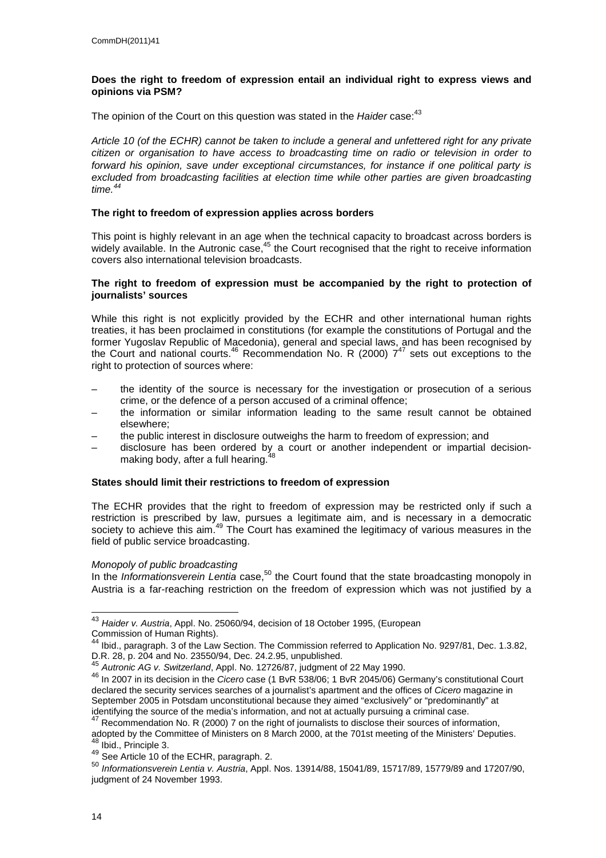## **Does the right to freedom of expression entail an individual right to express views and opinions via PSM?**

The opinion of the Court on this question was stated in the Haider case:<sup>43</sup>

Article 10 (of the ECHR) cannot be taken to include a general and unfettered right for any private citizen or organisation to have access to broadcasting time on radio or television in order to forward his opinion, save under exceptional circumstances, for instance if one political party is excluded from broadcasting facilities at election time while other parties are given broadcasting time. $44$ 

#### **The right to freedom of expression applies across borders**

This point is highly relevant in an age when the technical capacity to broadcast across borders is widely available. In the Autronic case,<sup>45</sup> the Court recognised that the right to receive information covers also international television broadcasts.

### **The right to freedom of expression must be accompanied by the right to protection of journalists' sources**

While this right is not explicitly provided by the ECHR and other international human rights treaties, it has been proclaimed in constitutions (for example the constitutions of Portugal and the former Yugoslav Republic of Macedonia), general and special laws, and has been recognised by the Court and national courts.<sup>46</sup> Recommendation No. R (2000)  $7^{47}$  sets out exceptions to the right to protection of sources where:

- the identity of the source is necessary for the investigation or prosecution of a serious crime, or the defence of a person accused of a criminal offence;
- the information or similar information leading to the same result cannot be obtained elsewhere;
- the public interest in disclosure outweighs the harm to freedom of expression; and
- disclosure has been ordered by a court or another independent or impartial decisionmaking body, after a full hearing.

#### **States should limit their restrictions to freedom of expression**

The ECHR provides that the right to freedom of expression may be restricted only if such a restriction is prescribed by law, pursues a legitimate aim, and is necessary in a democratic society to achieve this aim.<sup>49</sup> The Court has examined the legitimacy of various measures in the field of public service broadcasting.

#### Monopoly of public broadcasting

In the *Informationsverein Lentia* case,<sup>50</sup> the Court found that the state broadcasting monopoly in Austria is a far-reaching restriction on the freedom of expression which was not justified by a

j

 $^{43}$  Haider v. Austria, Appl. No. 25060/94, decision of 18 October 1995, (European Commission of Human Rights).

<sup>44</sup> Ibid., paragraph. 3 of the Law Section. The Commission referred to Application No. 9297/81, Dec. 1.3.82, D.R. 28, p. 204 and No. 23550/94, Dec. 24.2.95, unpublished.

Autronic AG v. Switzerland, Appl. No. 12726/87, judgment of 22 May 1990.

<sup>46</sup> In 2007 in its decision in the Cicero case (1 BvR 538/06; 1 BvR 2045/06) Germany's constitutional Court declared the security services searches of a journalist's apartment and the offices of Cicero magazine in September 2005 in Potsdam unconstitutional because they aimed "exclusively" or "predominantly" at identifying the source of the media's information, and not at actually pursuing a criminal case.

Recommendation No. R (2000) 7 on the right of journalists to disclose their sources of information, adopted by the Committee of Ministers on 8 March 2000, at the 701st meeting of the Ministers' Deputies. <sup>48</sup> Ibid., Principle 3.

<sup>49</sup> See Article 10 of the ECHR, paragraph. 2.

<sup>50</sup> Informationsverein Lentia v. Austria, Appl. Nos. 13914/88, 15041/89, 15717/89, 15779/89 and 17207/90, judgment of 24 November 1993.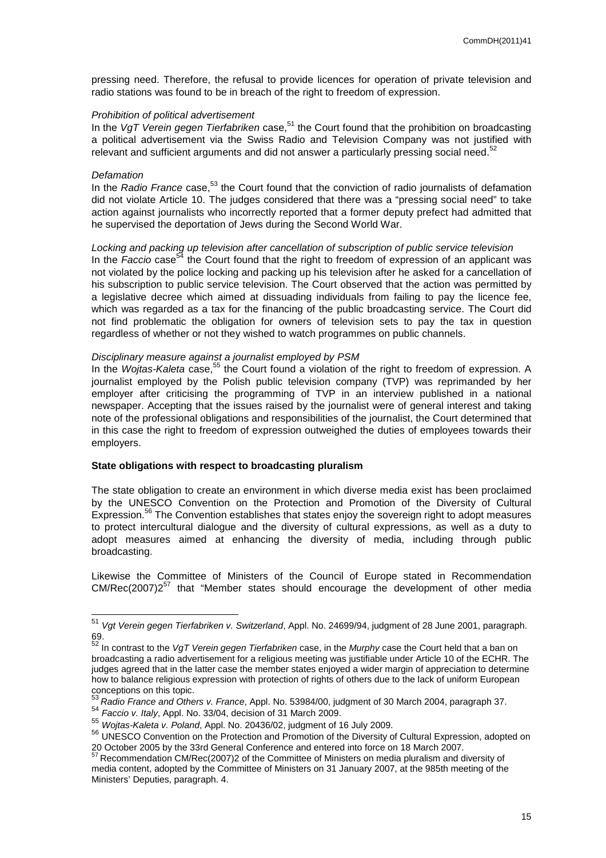pressing need. Therefore, the refusal to provide licences for operation of private television and radio stations was found to be in breach of the right to freedom of expression.

#### Prohibition of political advertisement

In the VgT Verein gegen Tierfabriken case, $51$  the Court found that the prohibition on broadcasting a political advertisement via the Swiss Radio and Television Company was not justified with relevant and sufficient arguments and did not answer a particularly pressing social need.<sup>52</sup>

#### **Defamation**

l

In the Radio France case.<sup>53</sup> the Court found that the conviction of radio journalists of defamation did not violate Article 10. The judges considered that there was a "pressing social need" to take action against journalists who incorrectly reported that a former deputy prefect had admitted that he supervised the deportation of Jews during the Second World War.

### Locking and packing up television after cancellation of subscription of public service television

In the Faccio case<sup>54</sup> the Court found that the right to freedom of expression of an applicant was not violated by the police locking and packing up his television after he asked for a cancellation of his subscription to public service television. The Court observed that the action was permitted by a legislative decree which aimed at dissuading individuals from failing to pay the licence fee, which was regarded as a tax for the financing of the public broadcasting service. The Court did not find problematic the obligation for owners of television sets to pay the tax in question regardless of whether or not they wished to watch programmes on public channels.

#### Disciplinary measure against a journalist employed by PSM

In the Wojtas-Kaleta case,<sup>55</sup> the Court found a violation of the right to freedom of expression. A journalist employed by the Polish public television company (TVP) was reprimanded by her employer after criticising the programming of TVP in an interview published in a national newspaper. Accepting that the issues raised by the journalist were of general interest and taking note of the professional obligations and responsibilities of the journalist, the Court determined that in this case the right to freedom of expression outweighed the duties of employees towards their employers.

### **State obligations with respect to broadcasting pluralism**

The state obligation to create an environment in which diverse media exist has been proclaimed by the UNESCO Convention on the Protection and Promotion of the Diversity of Cultural Expression.<sup>56</sup> The Convention establishes that states enjoy the sovereign right to adopt measures to protect intercultural dialogue and the diversity of cultural expressions, as well as a duty to adopt measures aimed at enhancing the diversity of media, including through public broadcasting.

Likewise the Committee of Ministers of the Council of Europe stated in Recommendation  $CM/Rec(2007)2^{57}$  that "Member states should encourage the development of other media

<sup>&</sup>lt;sup>51</sup> Vgt Verein gegen Tierfabriken v. Switzerland, Appl. No. 24699/94, judgment of 28 June 2001, paragraph. 69.

 $52$  In contrast to the VgT Verein gegen Tierfabriken case, in the Murphy case the Court held that a ban on broadcasting a radio advertisement for a religious meeting was justifiable under Article 10 of the ECHR. The judges agreed that in the latter case the member states enjoyed a wider margin of appreciation to determine how to balance religious expression with protection of rights of others due to the lack of uniform European conceptions on this topic.

Radio France and Others v. France, Appl. No. 53984/00, judgment of 30 March 2004, paragraph 37.

<sup>&</sup>lt;sup>54</sup> Faccio v. Italy, Appl. No. 33/04, decision of 31 March 2009.

<sup>55</sup> Wojtas-Kaleta v. Poland, Appl. No. 20436/02, judgment of 16 July 2009.

<sup>56</sup> UNESCO Convention on the Protection and Promotion of the Diversity of Cultural Expression, adopted on 20 October 2005 by the 33rd General Conference and entered into force on 18 March 2007.

<sup>57</sup>Recommendation CM/Rec(2007)2 of the Committee of Ministers on media pluralism and diversity of media content, adopted by the Committee of Ministers on 31 January 2007, at the 985th meeting of the Ministers' Deputies, paragraph. 4.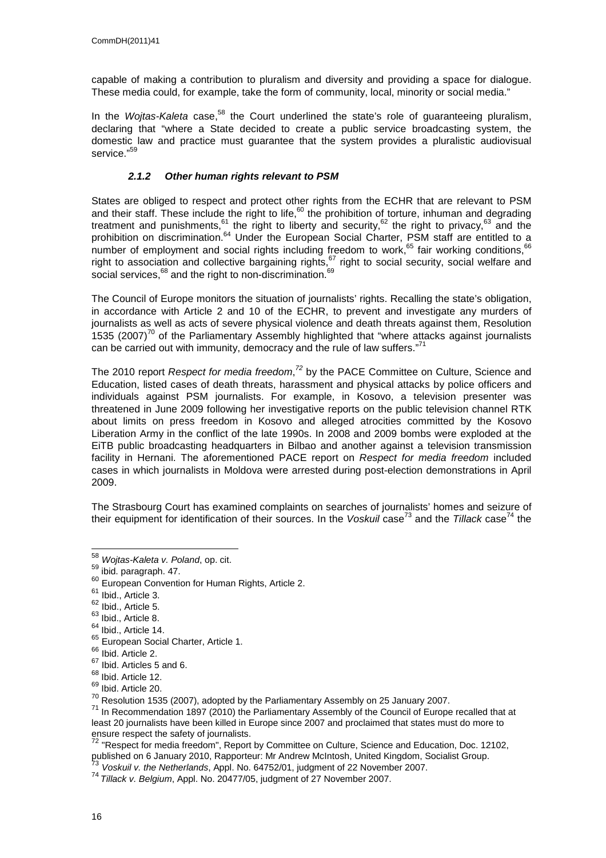capable of making a contribution to pluralism and diversity and providing a space for dialogue. These media could, for example, take the form of community, local, minority or social media."

In the Wojtas-Kaleta case,<sup>58</sup> the Court underlined the state's role of guaranteeing pluralism, declaring that "where a State decided to create a public service broadcasting system, the domestic law and practice must guarantee that the system provides a pluralistic audiovisual service."<sup>59</sup>

# **2.1.2 Other human rights relevant to PSM**

States are obliged to respect and protect other rights from the ECHR that are relevant to PSM and their staff. These include the right to life,<sup>60</sup> the prohibition of torture, inhuman and degrading treatment and punishments,  $61$  the right to liberty and security,  $62$  the right to privacy,  $63$  and the prohibition on discrimination.<sup>64</sup> Under the European Social Charter, PSM staff are entitled to a number of employment and social rights including freedom to work,<sup>65</sup> fair working conditions,<sup>66</sup> right to association and collective bargaining rights,  $67$  right to social security, social welfare and social services,  $68$  and the right to non-discrimination.  $69$ 

The Council of Europe monitors the situation of journalists' rights. Recalling the state's obligation, in accordance with Article 2 and 10 of the ECHR, to prevent and investigate any murders of journalists as well as acts of severe physical violence and death threats against them, Resolution 1535 (2007)<sup>70</sup> of the Parliamentary Assembly highlighted that "where attacks against journalists can be carried out with immunity, democracy and the rule of law suffers."<sup>71</sup>

The 2010 report Respect for media freedom,<sup>72</sup> by the PACE Committee on Culture, Science and Education, listed cases of death threats, harassment and physical attacks by police officers and individuals against PSM journalists. For example, in Kosovo, a television presenter was threatened in June 2009 following her investigative reports on the public television channel RTK about limits on press freedom in Kosovo and alleged atrocities committed by the Kosovo Liberation Army in the conflict of the late 1990s. In 2008 and 2009 bombs were exploded at the EiTB public broadcasting headquarters in Bilbao and another against a television transmission facility in Hernani. The aforementioned PACE report on Respect for media freedom included cases in which journalists in Moldova were arrested during post-election demonstrations in April 2009.

The Strasbourg Court has examined complaints on searches of journalists' homes and seizure of their equipment for identification of their sources. In the Voskuil case<sup>73</sup> and the Tillack case<sup>74</sup> the

l

<sup>72</sup> "Respect for media freedom", Report by Committee on Culture, Science and Education, Doc. 12102, published on 6 January 2010, Rapporteur: Mr Andrew McIntosh, United Kingdom, Socialist Group.

<sup>&</sup>lt;sup>58</sup> Wojtas-Kaleta v. Poland, op. cit.

<sup>59</sup> ibid. paragraph. 47.

<sup>60</sup> European Convention for Human Rights, Article 2.

 $61$  Ibid., Article 3.

<sup>62</sup> Ibid., Article 5.

<sup>63</sup> Ibid., Article 8.

 $64$  Ibid., Article 14.

<sup>&</sup>lt;sup>65</sup> European Social Charter, Article 1.

<sup>66</sup> Ibid. Article 2.

<sup>67</sup> Ibid. Articles 5 and 6.

<sup>68</sup> Ibid. Article 12.

<sup>&</sup>lt;sup>69</sup> Ibid. Article 20.

<sup>70</sup> Resolution 1535 (2007), adopted by the Parliamentary Assembly on 25 January 2007.

 $71$  In Recommendation 1897 (2010) the Parliamentary Assembly of the Council of Europe recalled that at least 20 journalists have been killed in Europe since 2007 and proclaimed that states must do more to ensure respect the safety of journalists.

Voskuil v. the Netherlands, Appl. No. 64752/01, judgment of 22 November 2007.

<sup>74</sup> Tillack v. Belgium, Appl. No. 20477/05, judgment of 27 November 2007.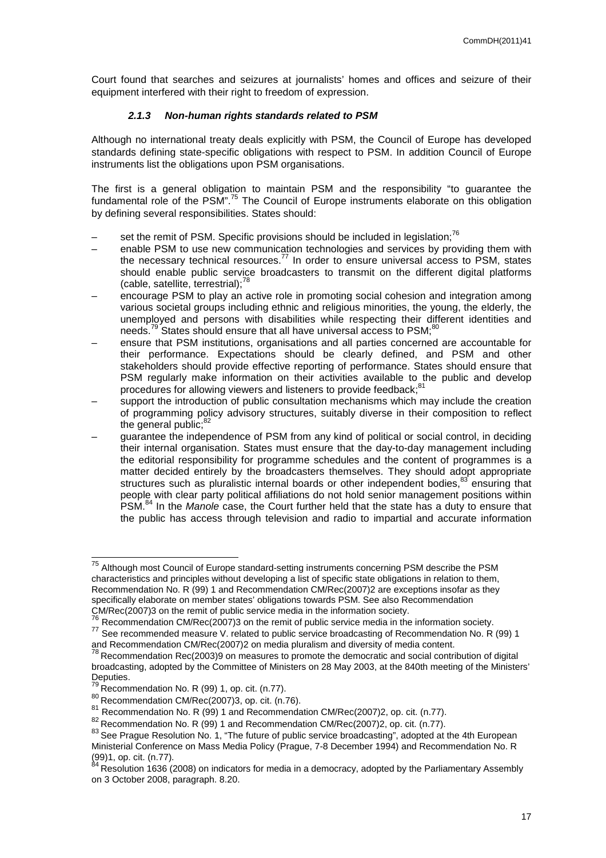Court found that searches and seizures at journalists' homes and offices and seizure of their equipment interfered with their right to freedom of expression.

## **2.1.3 Non-human rights standards related to PSM**

Although no international treaty deals explicitly with PSM, the Council of Europe has developed standards defining state-specific obligations with respect to PSM. In addition Council of Europe instruments list the obligations upon PSM organisations.

The first is a general obligation to maintain PSM and the responsibility "to guarantee the fundamental role of the PSM".<sup>75</sup> The Council of Europe instruments elaborate on this obligation by defining several responsibilities. States should:

- set the remit of PSM. Specific provisions should be included in legislation: $^{76}$
- enable PSM to use new communication technologies and services by providing them with the necessary technical resources. $77$  In order to ensure universal access to PSM, states should enable public service broadcasters to transmit on the different digital platforms (cable, satellite, terrestrial); $^{78}$
- encourage PSM to play an active role in promoting social cohesion and integration among various societal groups including ethnic and religious minorities, the young, the elderly, the unemployed and persons with disabilities while respecting their different identities and needs.<sup>79</sup> States should ensure that all have universal access to PSM;<sup>80</sup>
- ensure that PSM institutions, organisations and all parties concerned are accountable for their performance. Expectations should be clearly defined, and PSM and other stakeholders should provide effective reporting of performance. States should ensure that PSM regularly make information on their activities available to the public and develop procedures for allowing viewers and listeners to provide feedback;<sup>81</sup>
- support the introduction of public consultation mechanisms which may include the creation of programming policy advisory structures, suitably diverse in their composition to reflect the general public:<sup>82</sup>
- guarantee the independence of PSM from any kind of political or social control, in deciding their internal organisation. States must ensure that the day-to-day management including the editorial responsibility for programme schedules and the content of programmes is a matter decided entirely by the broadcasters themselves. They should adopt appropriate structures such as pluralistic internal boards or other independent bodies,<sup>83</sup> ensuring that people with clear party political affiliations do not hold senior management positions within PSM.<sup>84</sup> In the *Manole* case, the Court further held that the state has a duty to ensure that the public has access through television and radio to impartial and accurate information

<sup>&</sup>lt;sup>75</sup> Although most Council of Europe standard-setting instruments concerning PSM describe the PSM characteristics and principles without developing a list of specific state obligations in relation to them, Recommendation No. R (99) 1 and Recommendation CM/Rec(2007)2 are exceptions insofar as they specifically elaborate on member states' obligations towards PSM. See also Recommendation CM/Rec(2007)3 on the remit of public service media in the information society.

 $76$  Recommendation CM/Rec(2007)3 on the remit of public service media in the information society.

Recommended measure V. related to public service broadcasting of Recommendation No. R (99) 1 and Recommendation CM/Rec(2007)2 on media pluralism and diversity of media content.

 $^{78}$  Recommendation Rec(2003)9 on measures to promote the democratic and social contribution of digital broadcasting, adopted by the Committee of Ministers on 28 May 2003, at the 840th meeting of the Ministers' Deputies.

Recommendation No. R (99) 1, op. cit.  $(n.77)$ .

 $80$  Recommendation CM/Rec(2007)3, op. cit. (n.76).

<sup>81</sup> Recommendation No. R (99) 1 and Recommendation CM/Rec(2007)2, op. cit. (n.77).

<sup>82</sup> Recommendation No. R (99) 1 and Recommendation CM/Rec(2007)2, op. cit. (n.77).

<sup>83</sup> See Prague Resolution No. 1, "The future of public service broadcasting", adopted at the 4th European Ministerial Conference on Mass Media Policy (Prague, 7-8 December 1994) and Recommendation No. R  $(99)1$ , op. cit. (n.77).

<sup>&</sup>lt;sup>I</sup> Resolution 1636 (2008) on indicators for media in a democracy, adopted by the Parliamentary Assembly on 3 October 2008, paragraph. 8.20.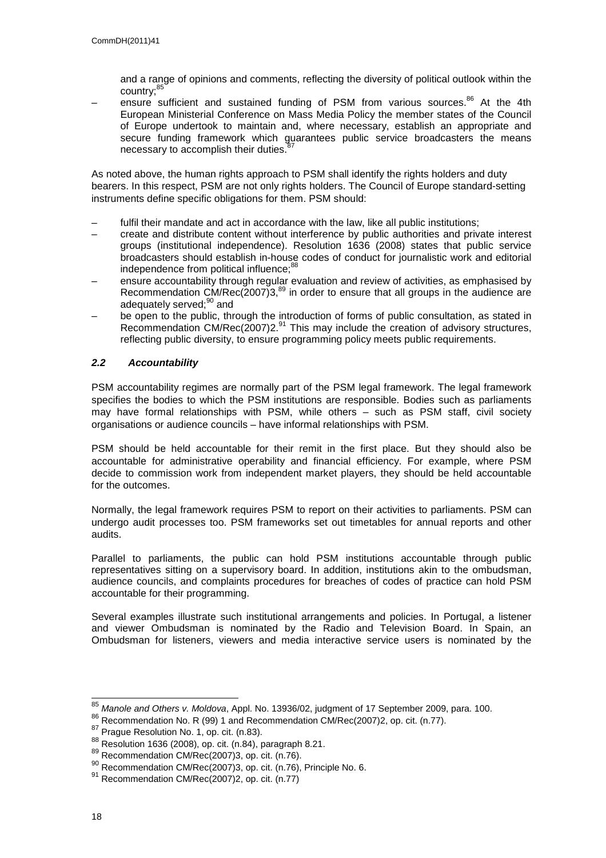and a range of opinions and comments, reflecting the diversity of political outlook within the country;<sup>85</sup>

ensure sufficient and sustained funding of PSM from various sources.<sup>86</sup> At the 4th European Ministerial Conference on Mass Media Policy the member states of the Council of Europe undertook to maintain and, where necessary, establish an appropriate and secure funding framework which guarantees public service broadcasters the means necessary to accomplish their duties.

As noted above, the human rights approach to PSM shall identify the rights holders and duty bearers. In this respect, PSM are not only rights holders. The Council of Europe standard-setting instruments define specific obligations for them. PSM should:

- fulfil their mandate and act in accordance with the law, like all public institutions;
- create and distribute content without interference by public authorities and private interest groups (institutional independence). Resolution 1636 (2008) states that public service broadcasters should establish in-house codes of conduct for journalistic work and editorial independence from political influence;<sup>88</sup>
- ensure accountability through regular evaluation and review of activities, as emphasised by Recommendation  $CM/Rec(2007)3$ ,  $89$  in order to ensure that all groups in the audience are adequately served;<sup>90</sup> and
- be open to the public, through the introduction of forms of public consultation, as stated in Recommendation CM/Rec(2007) $2^{.91}$  This may include the creation of advisory structures, reflecting public diversity, to ensure programming policy meets public requirements.

# **2.2 Accountability**

PSM accountability regimes are normally part of the PSM legal framework. The legal framework specifies the bodies to which the PSM institutions are responsible. Bodies such as parliaments may have formal relationships with PSM, while others – such as PSM staff, civil society organisations or audience councils – have informal relationships with PSM.

PSM should be held accountable for their remit in the first place. But they should also be accountable for administrative operability and financial efficiency. For example, where PSM decide to commission work from independent market players, they should be held accountable for the outcomes.

Normally, the legal framework requires PSM to report on their activities to parliaments. PSM can undergo audit processes too. PSM frameworks set out timetables for annual reports and other audits.

Parallel to parliaments, the public can hold PSM institutions accountable through public representatives sitting on a supervisory board. In addition, institutions akin to the ombudsman, audience councils, and complaints procedures for breaches of codes of practice can hold PSM accountable for their programming.

Several examples illustrate such institutional arrangements and policies. In Portugal, a listener and viewer Ombudsman is nominated by the Radio and Television Board. In Spain, an Ombudsman for listeners, viewers and media interactive service users is nominated by the

<sup>&</sup>lt;sup>85</sup> Manole and Others v. Moldova, Appl. No. 13936/02, judgment of 17 September 2009, para. 100.

<sup>86</sup> Recommendation No. R (99) 1 and Recommendation CM/Rec(2007)2, op. cit. (n.77).

<sup>&</sup>lt;sup>87</sup> Prague Resolution No. 1, op. cit. (n.83).

<sup>88</sup> Resolution 1636 (2008), op. cit. (n.84), paragraph 8.21.

<sup>89</sup> Recommendation CM/Rec(2007)3, op. cit. (n.76).

<sup>90</sup> Recommendation CM/Rec(2007)3, op. cit. (n.76), Principle No. 6.

<sup>91</sup> Recommendation CM/Rec(2007)2, op. cit. (n.77)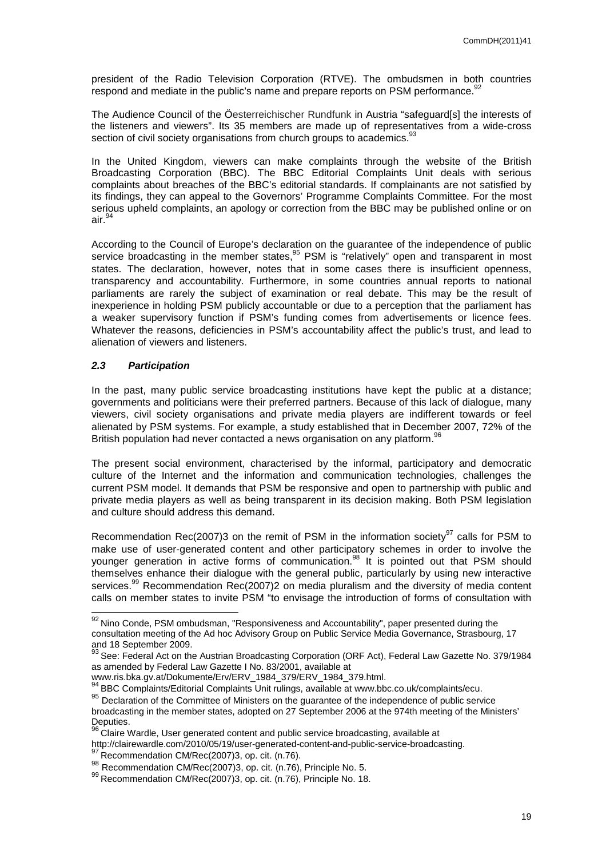president of the Radio Television Corporation (RTVE). The ombudsmen in both countries respond and mediate in the public's name and prepare reports on PSM performance.<sup>92</sup>

The Audience Council of the Öesterreichischer Rundfunk in Austria "safeguard[s] the interests of the listeners and viewers". Its 35 members are made up of representatives from a wide-cross section of civil society organisations from church groups to academics.<sup>93</sup>

In the United Kingdom, viewers can make complaints through the website of the British Broadcasting Corporation (BBC). The BBC Editorial Complaints Unit deals with serious complaints about breaches of the BBC's editorial standards. If complainants are not satisfied by its findings, they can appeal to the Governors' Programme Complaints Committee. For the most serious upheld complaints, an apology or correction from the BBC may be published online or on air. $94$ 

According to the Council of Europe's declaration on the guarantee of the independence of public service broadcasting in the member states,<sup>95</sup> PSM is "relatively" open and transparent in most states. The declaration, however, notes that in some cases there is insufficient openness, transparency and accountability. Furthermore, in some countries annual reports to national parliaments are rarely the subject of examination or real debate. This may be the result of inexperience in holding PSM publicly accountable or due to a perception that the parliament has a weaker supervisory function if PSM's funding comes from advertisements or licence fees. Whatever the reasons, deficiencies in PSM's accountability affect the public's trust, and lead to alienation of viewers and listeners.

### **2.3 Participation**

 $\overline{\phantom{a}}$ 

In the past, many public service broadcasting institutions have kept the public at a distance; governments and politicians were their preferred partners. Because of this lack of dialogue, many viewers, civil society organisations and private media players are indifferent towards or feel alienated by PSM systems. For example, a study established that in December 2007, 72% of the British population had never contacted a news organisation on any platform.<sup>96</sup>

The present social environment, characterised by the informal, participatory and democratic culture of the Internet and the information and communication technologies, challenges the current PSM model. It demands that PSM be responsive and open to partnership with public and private media players as well as being transparent in its decision making. Both PSM legislation and culture should address this demand.

Recommendation Rec(2007)3 on the remit of PSM in the information society<sup>97</sup> calls for PSM to make use of user-generated content and other participatory schemes in order to involve the younger generation in active forms of communication.<sup>98</sup> It is pointed out that PSM should themselves enhance their dialogue with the general public, particularly by using new interactive services.<sup>99</sup> Recommendation Rec(2007)2 on media pluralism and the diversity of media content calls on member states to invite PSM "to envisage the introduction of forms of consultation with

 $92$  Nino Conde, PSM ombudsman, "Responsiveness and Accountability", paper presented during the consultation meeting of the Ad hoc Advisory Group on Public Service Media Governance, Strasbourg, 17 and 18 September 2009.

 $^{93}$  See: Federal Act on the Austrian Broadcasting Corporation (ORF Act), Federal Law Gazette No. 379/1984 as amended by Federal Law Gazette I No. 83/2001, available at

www.ris.bka.gv.at/Dokumente/Erv/ERV\_1984\_379/ERV\_1984\_379.html.

<sup>94</sup>BBC Complaints/Editorial Complaints Unit rulings, available at www.bbc.co.uk/complaints/ecu.

<sup>95</sup> Declaration of the Committee of Ministers on the guarantee of the independence of public service broadcasting in the member states, adopted on 27 September 2006 at the 974th meeting of the Ministers' Deputies.

 $96$  Claire Wardle, User generated content and public service broadcasting, available at

http://clairewardle.com/2010/05/19/user-generated-content-and-public-service-broadcasting. Recommendation CM/Rec(2007)3, op. cit. (n.76).

<sup>98</sup> Recommendation CM/Rec(2007)3, op. cit. (n.76), Principle No. 5.

<sup>99</sup> Recommendation CM/Rec(2007)3, op. cit. (n.76), Principle No. 18.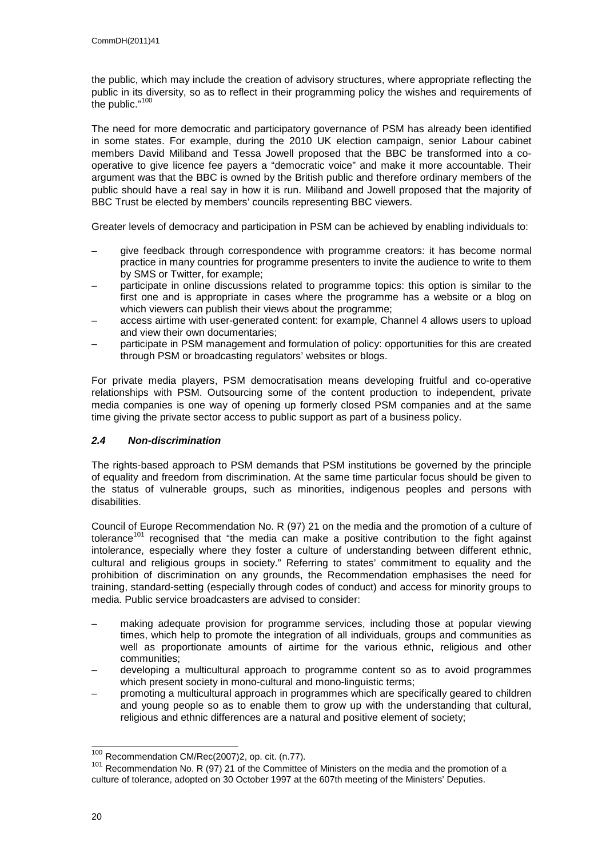the public, which may include the creation of advisory structures, where appropriate reflecting the public in its diversity, so as to reflect in their programming policy the wishes and requirements of the public."100

The need for more democratic and participatory governance of PSM has already been identified in some states. For example, during the 2010 UK election campaign, senior Labour cabinet members David Miliband and Tessa Jowell proposed that the BBC be transformed into a cooperative to give licence fee payers a "democratic voice" and make it more accountable. Their argument was that the BBC is owned by the British public and therefore ordinary members of the public should have a real say in how it is run. Miliband and Jowell proposed that the majority of BBC Trust be elected by members' councils representing BBC viewers.

Greater levels of democracy and participation in PSM can be achieved by enabling individuals to:

- give feedback through correspondence with programme creators: it has become normal practice in many countries for programme presenters to invite the audience to write to them by SMS or Twitter, for example;
- participate in online discussions related to programme topics: this option is similar to the first one and is appropriate in cases where the programme has a website or a blog on which viewers can publish their views about the programme:
- access airtime with user-generated content: for example, Channel 4 allows users to upload and view their own documentaries;
- participate in PSM management and formulation of policy: opportunities for this are created through PSM or broadcasting regulators' websites or blogs.

For private media players, PSM democratisation means developing fruitful and co-operative relationships with PSM. Outsourcing some of the content production to independent, private media companies is one way of opening up formerly closed PSM companies and at the same time giving the private sector access to public support as part of a business policy.

# **2.4 Non-discrimination**

The rights-based approach to PSM demands that PSM institutions be governed by the principle of equality and freedom from discrimination. At the same time particular focus should be given to the status of vulnerable groups, such as minorities, indigenous peoples and persons with disabilities.

Council of Europe Recommendation No. R (97) 21 on the media and the promotion of a culture of tolerance<sup>101</sup> recognised that "the media can make a positive contribution to the fight against intolerance, especially where they foster a culture of understanding between different ethnic, cultural and religious groups in society." Referring to states' commitment to equality and the prohibition of discrimination on any grounds, the Recommendation emphasises the need for training, standard-setting (especially through codes of conduct) and access for minority groups to media. Public service broadcasters are advised to consider:

- making adequate provision for programme services, including those at popular viewing times, which help to promote the integration of all individuals, groups and communities as well as proportionate amounts of airtime for the various ethnic, religious and other communities;
- developing a multicultural approach to programme content so as to avoid programmes which present society in mono-cultural and mono-linguistic terms;
- promoting a multicultural approach in programmes which are specifically geared to children and young people so as to enable them to grow up with the understanding that cultural, religious and ethnic differences are a natural and positive element of society;

<sup>100</sup> Recommendation CM/Rec(2007)2, op. cit. (n.77).

<sup>&</sup>lt;sup>101</sup> Recommendation No. R (97) 21 of the Committee of Ministers on the media and the promotion of a culture of tolerance, adopted on 30 October 1997 at the 607th meeting of the Ministers' Deputies.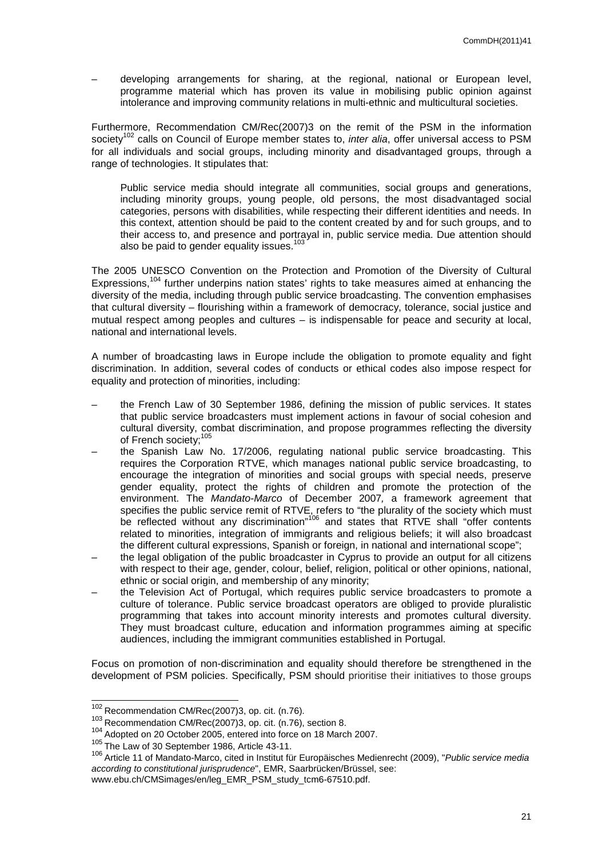– developing arrangements for sharing, at the regional, national or European level, programme material which has proven its value in mobilising public opinion against intolerance and improving community relations in multi-ethnic and multicultural societies.

Furthermore, Recommendation CM/Rec(2007)3 on the remit of the PSM in the information society<sup>102</sup> calls on Council of Europe member states to, *inter alia*, offer universal access to PSM for all individuals and social groups, including minority and disadvantaged groups, through a range of technologies. It stipulates that:

Public service media should integrate all communities, social groups and generations, including minority groups, young people, old persons, the most disadvantaged social categories, persons with disabilities, while respecting their different identities and needs. In this context, attention should be paid to the content created by and for such groups, and to their access to, and presence and portrayal in, public service media. Due attention should also be paid to gender equality issues.<sup>103</sup>

The 2005 UNESCO Convention on the Protection and Promotion of the Diversity of Cultural Expressions,<sup>104</sup> further underpins nation states' rights to take measures aimed at enhancing the diversity of the media, including through public service broadcasting. The convention emphasises that cultural diversity – flourishing within a framework of democracy, tolerance, social justice and mutual respect among peoples and cultures – is indispensable for peace and security at local, national and international levels.

A number of broadcasting laws in Europe include the obligation to promote equality and fight discrimination. In addition, several codes of conducts or ethical codes also impose respect for equality and protection of minorities, including:

- the French Law of 30 September 1986, defining the mission of public services. It states that public service broadcasters must implement actions in favour of social cohesion and cultural diversity, combat discrimination, and propose programmes reflecting the diversity of French society;<sup>105</sup>
- the Spanish Law No. 17/2006, regulating national public service broadcasting. This requires the Corporation RTVE, which manages national public service broadcasting, to encourage the integration of minorities and social groups with special needs, preserve gender equality, protect the rights of children and promote the protection of the environment. The Mandato-Marco of December 2007, a framework agreement that specifies the public service remit of RTVE, refers to "the plurality of the society which must be reflected without any discrimination"<sup>106</sup> and states that RTVE shall "offer contents related to minorities, integration of immigrants and religious beliefs; it will also broadcast the different cultural expressions, Spanish or foreign, in national and international scope";
- the legal obligation of the public broadcaster in Cyprus to provide an output for all citizens with respect to their age, gender, colour, belief, religion, political or other opinions, national, ethnic or social origin, and membership of any minority;
- the Television Act of Portugal, which requires public service broadcasters to promote a culture of tolerance. Public service broadcast operators are obliged to provide pluralistic programming that takes into account minority interests and promotes cultural diversity. They must broadcast culture, education and information programmes aiming at specific audiences, including the immigrant communities established in Portugal.

Focus on promotion of non-discrimination and equality should therefore be strengthened in the development of PSM policies. Specifically, PSM should prioritise their initiatives to those groups

 $102$  Recommendation CM/Rec(2007)3, op. cit. (n.76).

<sup>103</sup>Recommendation CM/Rec(2007)3, op. cit. (n.76), section 8.

<sup>104</sup>Adopted on 20 October 2005, entered into force on 18 March 2007.

<sup>105</sup> The Law of 30 September 1986, Article 43-11.

<sup>&</sup>lt;sup>106</sup> Article 11 of Mandato-Marco, cited in Institut für Europäisches Medienrecht (2009), "Public service media according to constitutional jurisprudence", EMR, Saarbrücken/Brüssel, see:

www.ebu.ch/CMSimages/en/leg\_EMR\_PSM\_study\_tcm6-67510.pdf.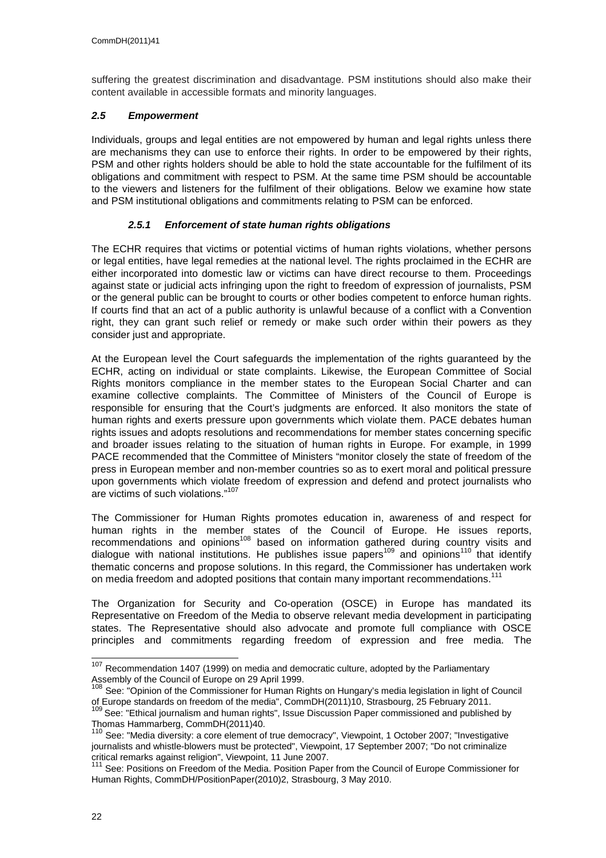suffering the greatest discrimination and disadvantage. PSM institutions should also make their content available in accessible formats and minority languages.

# **2.5 Empowerment**

Individuals, groups and legal entities are not empowered by human and legal rights unless there are mechanisms they can use to enforce their rights. In order to be empowered by their rights, PSM and other rights holders should be able to hold the state accountable for the fulfilment of its obligations and commitment with respect to PSM. At the same time PSM should be accountable to the viewers and listeners for the fulfilment of their obligations. Below we examine how state and PSM institutional obligations and commitments relating to PSM can be enforced.

# **2.5.1 Enforcement of state human rights obligations**

The ECHR requires that victims or potential victims of human rights violations, whether persons or legal entities, have legal remedies at the national level. The rights proclaimed in the ECHR are either incorporated into domestic law or victims can have direct recourse to them. Proceedings against state or judicial acts infringing upon the right to freedom of expression of journalists, PSM or the general public can be brought to courts or other bodies competent to enforce human rights. If courts find that an act of a public authority is unlawful because of a conflict with a Convention right, they can grant such relief or remedy or make such order within their powers as they consider just and appropriate.

At the European level the Court safeguards the implementation of the rights guaranteed by the ECHR, acting on individual or state complaints. Likewise, the European Committee of Social Rights monitors compliance in the member states to the European Social Charter and can examine collective complaints. The Committee of Ministers of the Council of Europe is responsible for ensuring that the Court's judgments are enforced. It also monitors the state of human rights and exerts pressure upon governments which violate them. PACE debates human rights issues and adopts resolutions and recommendations for member states concerning specific and broader issues relating to the situation of human rights in Europe. For example, in 1999 PACE recommended that the Committee of Ministers "monitor closely the state of freedom of the press in European member and non-member countries so as to exert moral and political pressure upon governments which violate freedom of expression and defend and protect journalists who are victims of such violations."<sup>107</sup>

The Commissioner for Human Rights promotes education in, awareness of and respect for human rights in the member states of the Council of Europe. He issues reports, recommendations and opinions<sup>108</sup> based on information gathered during country visits and dialogue with national institutions. He publishes issue papers<sup>109</sup> and opinions<sup>110</sup> that identify thematic concerns and propose solutions. In this regard, the Commissioner has undertaken work on media freedom and adopted positions that contain many important recommendations.<sup>11</sup>

The Organization for Security and Co-operation (OSCE) in Europe has mandated its Representative on Freedom of the Media to observe relevant media development in participating states. The Representative should also advocate and promote full compliance with OSCE principles and commitments regarding freedom of expression and free media. The

 $107$  Recommendation 1407 (1999) on media and democratic culture, adopted by the Parliamentary Assembly of the Council of Europe on 29 April 1999.

<sup>&</sup>lt;sup>108</sup> See: "Opinion of the Commissioner for Human Rights on Hungary's media legislation in light of Council of Europe standards on freedom of the media", CommDH(2011)10, Strasbourg, 25 February 2011.

<sup>&</sup>lt;sup>109</sup> See: "Ethical journalism and human rights", Issue Discussion Paper commissioned and published by Thomas Hammarberg, CommDH(2011)40.

<sup>110</sup> See: "Media diversity: a core element of true democracy", Viewpoint, 1 October 2007; "Investigative journalists and whistle-blowers must be protected", Viewpoint, 17 September 2007; "Do not criminalize critical remarks against religion", Viewpoint, 11 June 2007.

<sup>&</sup>lt;sup>111</sup> See: Positions on Freedom of the Media. Position Paper from the Council of Europe Commissioner for Human Rights, CommDH/PositionPaper(2010)2, Strasbourg, 3 May 2010.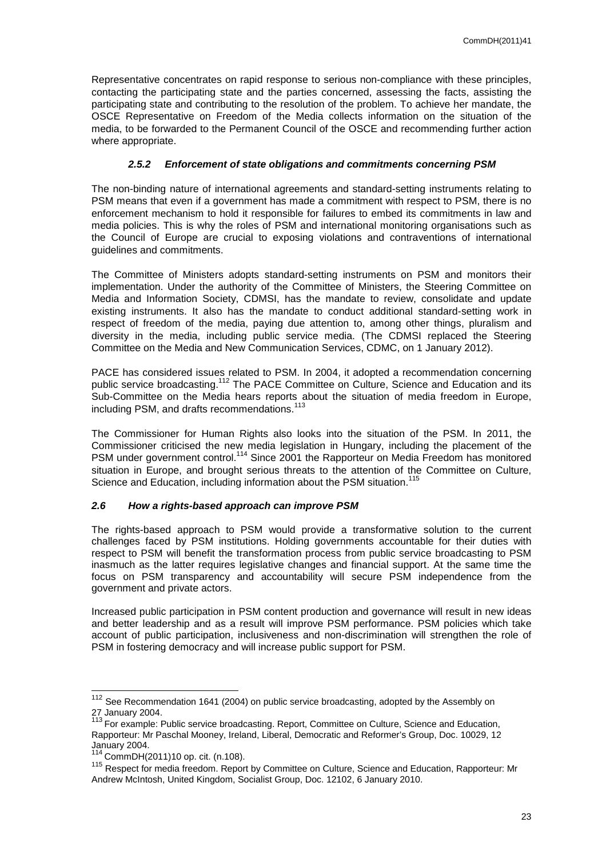Representative concentrates on rapid response to serious non-compliance with these principles, contacting the participating state and the parties concerned, assessing the facts, assisting the participating state and contributing to the resolution of the problem. To achieve her mandate, the OSCE Representative on Freedom of the Media collects information on the situation of the media, to be forwarded to the Permanent Council of the OSCE and recommending further action where appropriate.

# **2.5.2 Enforcement of state obligations and commitments concerning PSM**

The non-binding nature of international agreements and standard-setting instruments relating to PSM means that even if a government has made a commitment with respect to PSM, there is no enforcement mechanism to hold it responsible for failures to embed its commitments in law and media policies. This is why the roles of PSM and international monitoring organisations such as the Council of Europe are crucial to exposing violations and contraventions of international guidelines and commitments.

The Committee of Ministers adopts standard-setting instruments on PSM and monitors their implementation. Under the authority of the Committee of Ministers, the Steering Committee on Media and Information Society, CDMSI, has the mandate to review, consolidate and update existing instruments. It also has the mandate to conduct additional standard-setting work in respect of freedom of the media, paying due attention to, among other things, pluralism and diversity in the media, including public service media. (The CDMSI replaced the Steering Committee on the Media and New Communication Services, CDMC, on 1 January 2012).

PACE has considered issues related to PSM. In 2004, it adopted a recommendation concerning public service broadcasting.<sup>112</sup> The PACE Committee on Culture, Science and Education and its Sub-Committee on the Media hears reports about the situation of media freedom in Europe, including PSM, and drafts recommendations.<sup>113</sup>

The Commissioner for Human Rights also looks into the situation of the PSM. In 2011, the Commissioner criticised the new media legislation in Hungary, including the placement of the PSM under government control.<sup>114</sup> Since 2001 the Rapporteur on Media Freedom has monitored situation in Europe, and brought serious threats to the attention of the Committee on Culture, Science and Education, including information about the PSM situation.<sup>115</sup>

# **2.6 How a rights-based approach can improve PSM**

The rights-based approach to PSM would provide a transformative solution to the current challenges faced by PSM institutions. Holding governments accountable for their duties with respect to PSM will benefit the transformation process from public service broadcasting to PSM inasmuch as the latter requires legislative changes and financial support. At the same time the focus on PSM transparency and accountability will secure PSM independence from the government and private actors.

Increased public participation in PSM content production and governance will result in new ideas and better leadership and as a result will improve PSM performance. PSM policies which take account of public participation, inclusiveness and non-discrimination will strengthen the role of PSM in fostering democracy and will increase public support for PSM.

 $112$  See Recommendation 1641 (2004) on public service broadcasting, adopted by the Assembly on 27 January 2004.

<sup>113</sup> For example: Public service broadcasting. Report, Committee on Culture, Science and Education, Rapporteur: Mr Paschal Mooney, Ireland, Liberal, Democratic and Reformer's Group, Doc. 10029, 12 January 2004.

CommDH(2011)10 op. cit. (n.108).

<sup>115</sup> Respect for media freedom. Report by Committee on Culture, Science and Education, Rapporteur: Mr Andrew McIntosh, United Kingdom, Socialist Group, Doc. 12102, 6 January 2010.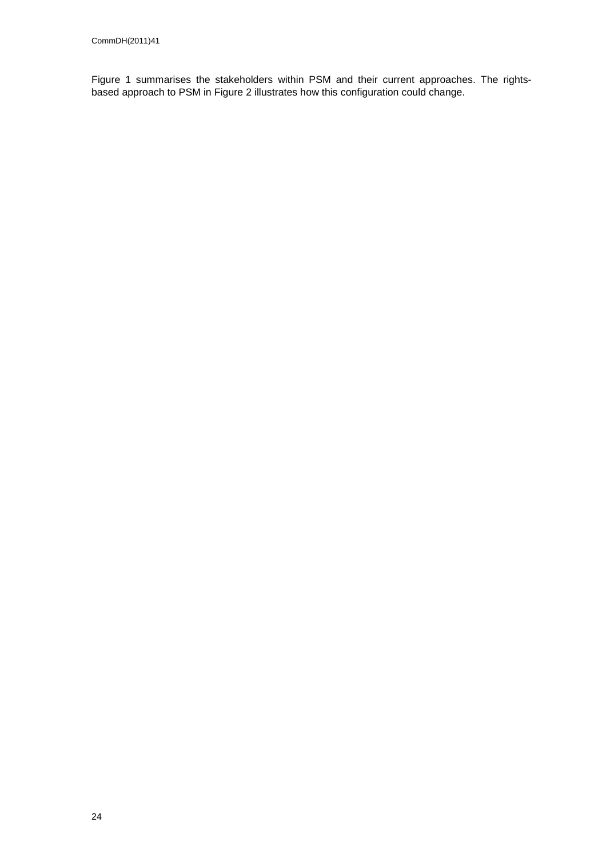Figure 1 summarises the stakeholders within PSM and their current approaches. The rightsbased approach to PSM in Figure 2 illustrates how this configuration could change.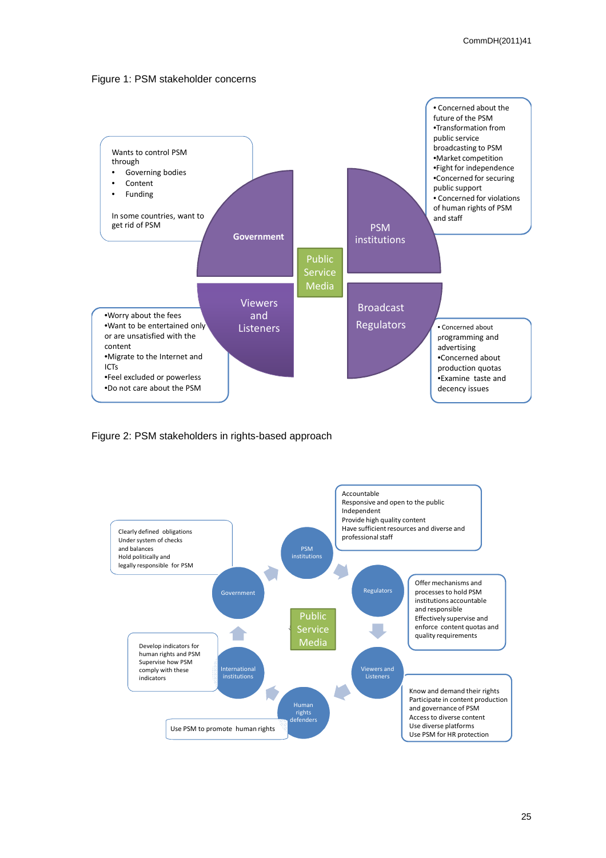



Figure 2: PSM stakeholders in rights-based approach

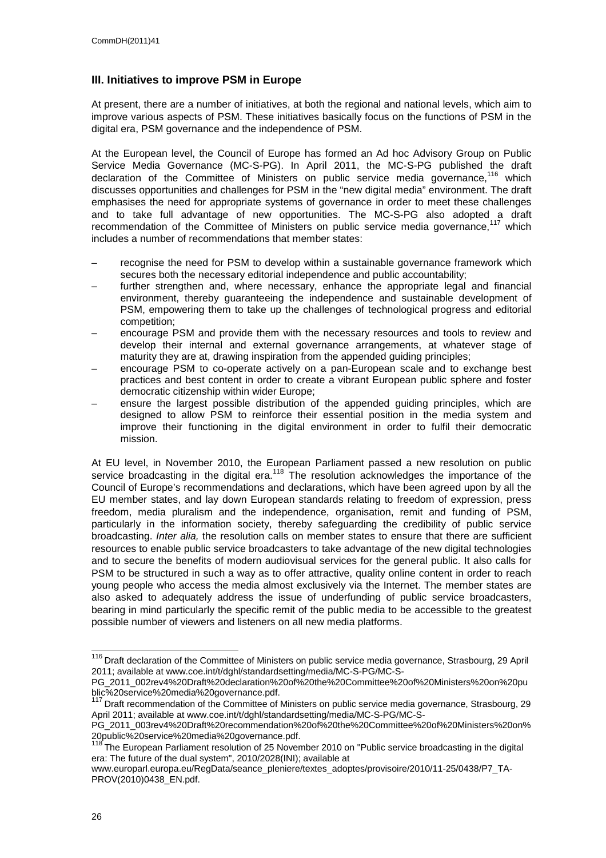# **III. Initiatives to improve PSM in Europe**

At present, there are a number of initiatives, at both the regional and national levels, which aim to improve various aspects of PSM. These initiatives basically focus on the functions of PSM in the digital era, PSM governance and the independence of PSM.

At the European level, the Council of Europe has formed an Ad hoc Advisory Group on Public Service Media Governance (MC-S-PG). In April 2011, the MC-S-PG published the draft declaration of the Committee of Ministers on public service media governance,<sup>116</sup> which discusses opportunities and challenges for PSM in the "new digital media" environment. The draft emphasises the need for appropriate systems of governance in order to meet these challenges and to take full advantage of new opportunities. The MC-S-PG also adopted a draft recommendation of the Committee of Ministers on public service media governance.<sup>117</sup> which includes a number of recommendations that member states:

- recognise the need for PSM to develop within a sustainable governance framework which secures both the necessary editorial independence and public accountability;
- further strengthen and, where necessary, enhance the appropriate legal and financial environment, thereby guaranteeing the independence and sustainable development of PSM, empowering them to take up the challenges of technological progress and editorial competition;
- encourage PSM and provide them with the necessary resources and tools to review and develop their internal and external governance arrangements, at whatever stage of maturity they are at, drawing inspiration from the appended guiding principles;
- encourage PSM to co-operate actively on a pan-European scale and to exchange best practices and best content in order to create a vibrant European public sphere and foster democratic citizenship within wider Europe;
- ensure the largest possible distribution of the appended guiding principles, which are designed to allow PSM to reinforce their essential position in the media system and improve their functioning in the digital environment in order to fulfil their democratic mission.

At EU level, in November 2010, the European Parliament passed a new resolution on public service broadcasting in the digital era.<sup>118</sup> The resolution acknowledges the importance of the Council of Europe's recommendations and declarations, which have been agreed upon by all the EU member states, and lay down European standards relating to freedom of expression, press freedom, media pluralism and the independence, organisation, remit and funding of PSM, particularly in the information society, thereby safeguarding the credibility of public service broadcasting. Inter alia, the resolution calls on member states to ensure that there are sufficient resources to enable public service broadcasters to take advantage of the new digital technologies and to secure the benefits of modern audiovisual services for the general public. It also calls for PSM to be structured in such a way as to offer attractive, quality online content in order to reach young people who access the media almost exclusively via the Internet. The member states are also asked to adequately address the issue of underfunding of public service broadcasters, bearing in mind particularly the specific remit of the public media to be accessible to the greatest possible number of viewers and listeners on all new media platforms.

<sup>&</sup>lt;sup>116</sup> Draft declaration of the Committee of Ministers on public service media governance, Strasbourg, 29 April 2011; available at www.coe.int/t/dghl/standardsetting/media/MC-S-PG/MC-S-

PG\_2011\_002rev4%20Draft%20declaration%20of%20the%20Committee%20of%20Ministers%20on%20pu blic%20service%20media%20governance.pdf.

<sup>&</sup>lt;sup>117</sup> Draft recommendation of the Committee of Ministers on public service media governance, Strasbourg, 29 April 2011; available at www.coe.int/t/dghl/standardsetting/media/MC-S-PG/MC-S-

PG\_2011\_003rev4%20Draft%20recommendation%20of%20the%20Committee%20of%20Ministers%20on% 20public%20service%20media%20governance.pdf.

<sup>118</sup>The European Parliament resolution of 25 November 2010 on "Public service broadcasting in the digital era: The future of the dual system", 2010/2028(INI); available at

www.europarl.europa.eu/RegData/seance\_pleniere/textes\_adoptes/provisoire/2010/11-25/0438/P7\_TA-PROV(2010)0438\_EN.pdf.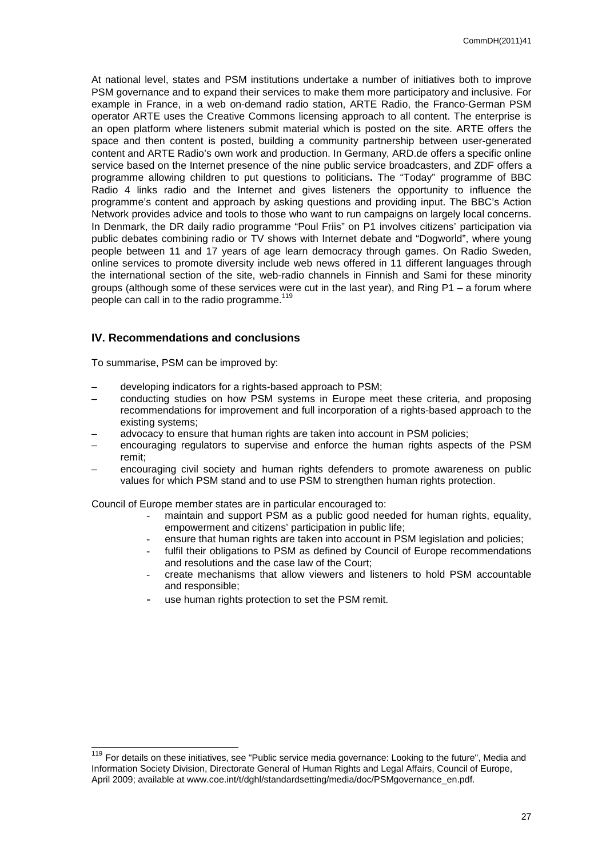At national level, states and PSM institutions undertake a number of initiatives both to improve PSM governance and to expand their services to make them more participatory and inclusive. For example in France, in a web on-demand radio station, ARTE Radio, the Franco-German PSM operator ARTE uses the Creative Commons licensing approach to all content. The enterprise is an open platform where listeners submit material which is posted on the site. ARTE offers the space and then content is posted, building a community partnership between user-generated content and ARTE Radio's own work and production. In Germany, ARD.de offers a specific online service based on the Internet presence of the nine public service broadcasters, and ZDF offers a programme allowing children to put questions to politicians**.** The "Today" programme of BBC Radio 4 links radio and the Internet and gives listeners the opportunity to influence the programme's content and approach by asking questions and providing input. The BBC's Action Network provides advice and tools to those who want to run campaigns on largely local concerns. In Denmark, the DR daily radio programme "Poul Friis" on P1 involves citizens' participation via public debates combining radio or TV shows with Internet debate and "Dogworld", where young people between 11 and 17 years of age learn democracy through games. On Radio Sweden, online services to promote diversity include web news offered in 11 different languages through the international section of the site, web-radio channels in Finnish and Sami for these minority groups (although some of these services were cut in the last year), and Ring P1 – a forum where people can call in to the radio programme.<sup>119</sup>

# **IV. Recommendations and conclusions**

To summarise, PSM can be improved by:

 $\overline{a}$ 

- developing indicators for a rights-based approach to PSM;
- conducting studies on how PSM systems in Europe meet these criteria, and proposing recommendations for improvement and full incorporation of a rights-based approach to the existing systems;
- advocacy to ensure that human rights are taken into account in PSM policies;
- encouraging regulators to supervise and enforce the human rights aspects of the PSM remit;
- encouraging civil society and human rights defenders to promote awareness on public values for which PSM stand and to use PSM to strengthen human rights protection.

Council of Europe member states are in particular encouraged to:

- maintain and support PSM as a public good needed for human rights, equality, empowerment and citizens' participation in public life;
- ensure that human rights are taken into account in PSM legislation and policies;
- fulfil their obligations to PSM as defined by Council of Europe recommendations and resolutions and the case law of the Court;
- create mechanisms that allow viewers and listeners to hold PSM accountable and responsible;
- use human rights protection to set the PSM remit.

<sup>&</sup>lt;sup>119</sup> For details on these initiatives, see "Public service media governance: Looking to the future", Media and Information Society Division, Directorate General of Human Rights and Legal Affairs, Council of Europe, April 2009; available at www.coe.int/t/dghl/standardsetting/media/doc/PSMgovernance\_en.pdf.